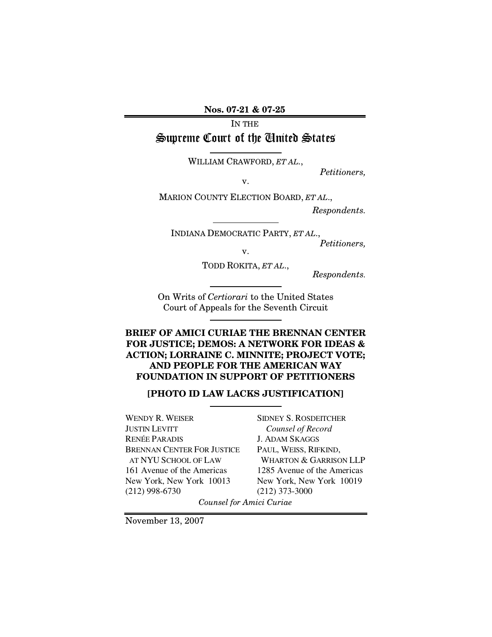**Nos. 07-21 & 07-25**

IN THE

### . In the contract of the contract of the contract of the contract of the contract of the contract of the contract of the contract of the contract of the contract of the contract of the contract of the contract of the contr

WILLIAM CRAWFORD, *ET AL*.,

*Petitioners,*

v. MARION COUNTY ELECTION BOARD, *ET AL*.,

*Respondents.*

INDIANA DEMOCRATIC PARTY, *ET AL*., *Petitioners,*

v.

TODD ROKITA, *ET AL*.,

*Respondents.*

On Writs of *Certiorari* to the United States Court of Appeals for the Seventh Circuit

#### **BRIEF OF AMICI CURIAE THE BRENNAN CENTER FOR JUSTICE; DEMOS: A NETWORK FOR IDEAS & ACTION; LORRAINE C. MINNITE; PROJECT VOTE; AND PEOPLE FOR THE AMERICAN WAY FOUNDATION IN SUPPORT OF PETITIONERS**

#### **[PHOTO ID LAW LACKS JUSTIFICATION]**

WENDY R. WEISER JUSTIN LEVITT RENÉE PARADIS BRENNAN CENTER FOR JUSTICE AT NYU SCHOOL OF LAW 161 Avenue of the Americas New York, New York 10013 (212) 998-6730

SIDNEY S. ROSDEITCHER *Counsel of Record* J. ADAM SKAGGS PAUL, WEISS, RIFKIND, WHARTON & GARRISON LLP 1285 Avenue of the Americas New York, New York 10019 (212) 373-3000

*Counsel for Amici Curiae*

November 13, 2007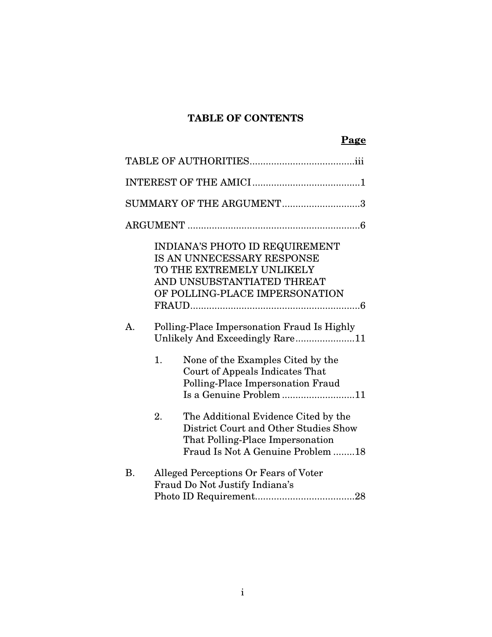### **TABLE OF CONTENTS**

# **Page**

|           | SUMMARY OF THE ARGUMENT3                                                                                                                                                                                                                    |
|-----------|---------------------------------------------------------------------------------------------------------------------------------------------------------------------------------------------------------------------------------------------|
|           |                                                                                                                                                                                                                                             |
| А.        | INDIANA'S PHOTO ID REQUIREMENT<br>IS AN UNNECESSARY RESPONSE<br>TO THE EXTREMELY UNLIKELY<br>AND UNSUBSTANTIATED THREAT<br>OF POLLING-PLACE IMPERSONATION<br>Polling-Place Impersonation Fraud Is Highly<br>Unlikely And Exceedingly Rare11 |
|           | 1.<br>None of the Examples Cited by the<br>Court of Appeals Indicates That<br>Polling-Place Impersonation Fraud<br>Is a Genuine Problem 11                                                                                                  |
|           | 2.<br>The Additional Evidence Cited by the<br>District Court and Other Studies Show<br>That Polling-Place Impersonation<br>Fraud Is Not A Genuine Problem 18                                                                                |
| <b>B.</b> | Alleged Perceptions Or Fears of Voter<br>Fraud Do Not Justify Indiana's                                                                                                                                                                     |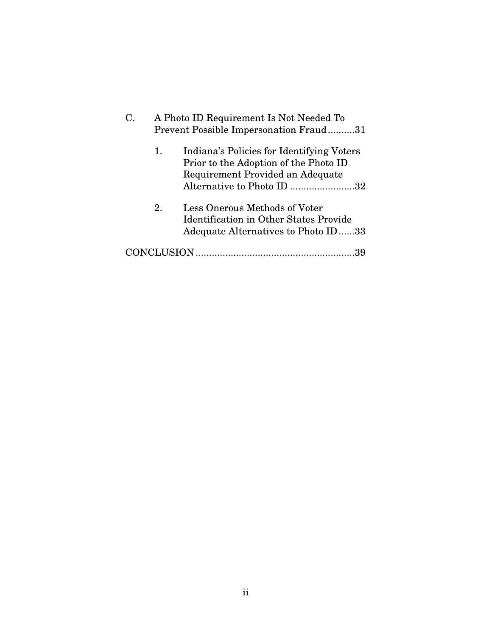| C. |                   | A Photo ID Requirement Is Not Needed To<br>Prevent Possible Impersonation Fraud31                                                                    |
|----|-------------------|------------------------------------------------------------------------------------------------------------------------------------------------------|
|    | $\mathbf{1}$ .    | Indiana's Policies for Identifying Voters<br>Prior to the Adoption of the Photo ID<br>Requirement Provided an Adequate<br>Alternative to Photo ID 32 |
|    | 2.                | Less Onerous Methods of Voter<br><b>Identification in Other States Provide</b><br>Adequate Alternatives to Photo ID33                                |
|    | <b>CONCLUSION</b> |                                                                                                                                                      |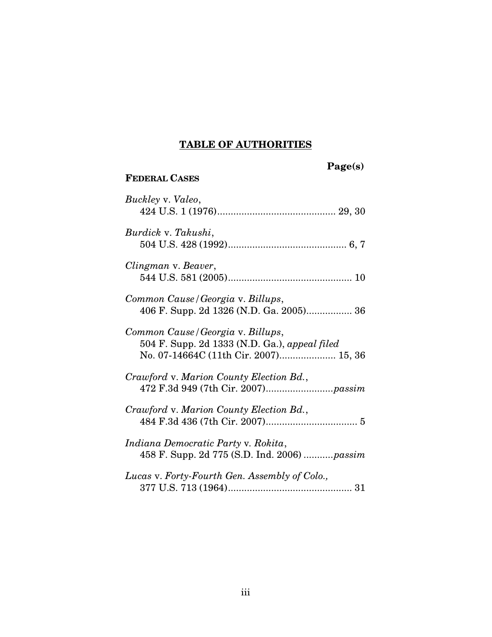#### **TABLE OF AUTHORITIES**

| 'age(s) |  |
|---------|--|
|---------|--|

# *Buckley* v. *Valeo*, 424 U.S. 1 (1976)............................................ 29, 30 *Burdick* v. *Takushi*, 504 U.S. 428 (1992)............................................ 6, 7

**FEDERAL CASES**

| Clingman v. Beaver, |  |
|---------------------|--|
|                     |  |
|                     |  |

### *Common Cause/Georgia* v. *Billups*, 406 F. Supp. 2d 1326 (N.D. Ga. 2005)................. 36

### *Common Cause/Georgia* v. *Billups*, 504 F. Supp. 2d 1333 (N.D. Ga.), *appeal filed* No. 07-14664C (11th Cir. 2007)..................... 15, 36

### *Crawford* v. *Marion County Election Bd.*, 472 F.3d 949 (7th Cir. 2007).........................*passim*

### *Crawford* v. *Marion County Election Bd.*, 484 F.3d 436 (7th Cir. 2007).................................. 5

### *Indiana Democratic Party* v*. Rokita*, 458 F. Supp. 2d 775 (S.D. Ind. 2006) ...........*passim*

### *Lucas* v. *Forty-Fourth Gen. Assembly of Colo.,* 377 U.S. 713 (1964).............................................. 31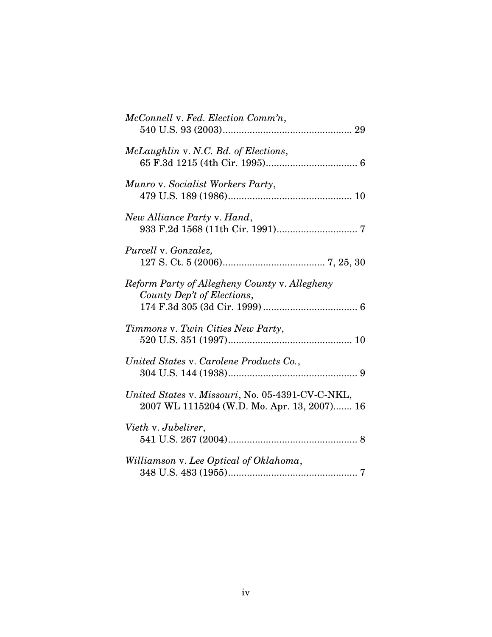| McConnell v. Fed. Election Comm'n,                                                              |
|-------------------------------------------------------------------------------------------------|
| McLaughlin v. N.C. Bd. of Elections,                                                            |
| Munro v. Socialist Workers Party,                                                               |
| New Alliance Party v. Hand,                                                                     |
| Purcell v. Gonzalez,                                                                            |
| Reform Party of Allegheny County v. Allegheny<br>County Dep't of Elections,                     |
| Timmons v. Twin Cities New Party,                                                               |
| United States v. Carolene Products Co.,                                                         |
| United States v. Missouri, No. 05-4391-CV-C-NKL,<br>2007 WL 1115204 (W.D. Mo. Apr. 13, 2007) 16 |
| Vieth v. Jubelirer,                                                                             |
| Williamson v. Lee Optical of Oklahoma,                                                          |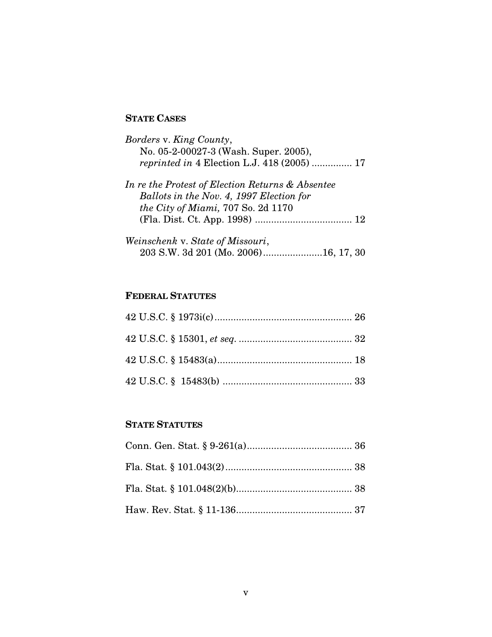## **STATE CASES**

| Borders v. King County,                            |  |
|----------------------------------------------------|--|
| No. 05-2-00027-3 (Wash. Super. 2005),              |  |
| <i>reprinted in</i> 4 Election L.J. 418 (2005)  17 |  |
| In re the Protest of Election Returns & Absentee   |  |
| Ballots in the Nov. 4, 1997 Election for           |  |
| the City of Miami, 707 So. 2d 1170                 |  |
|                                                    |  |
| Weinschenk v. State of Missouri,                   |  |
| 203 S.W. 3d 201 (Mo. 2006)16, 17, 30               |  |

## **FEDERAL STATUTES**

### **STATE STATUTES**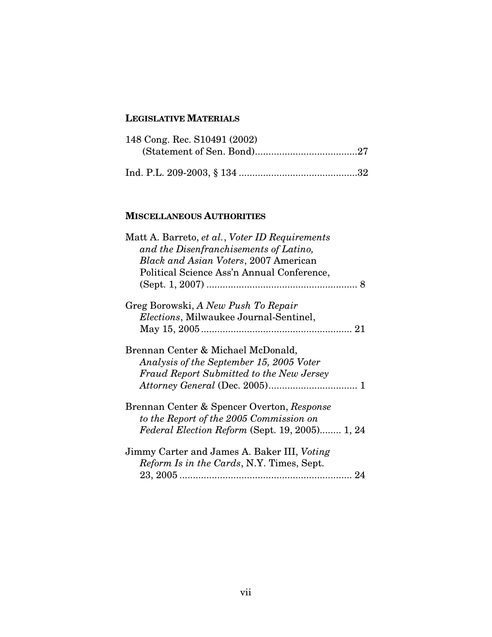### **LEGISLATIVE MATERIALS**

| 148 Cong. Rec. S10491 (2002) |  |
|------------------------------|--|
|                              |  |
|                              |  |
|                              |  |

#### **MISCELLANEOUS AUTHORITIES**

| Matt A. Barreto, et al., Voter ID Requirements   |
|--------------------------------------------------|
| and the Disenfranchisements of Latino,           |
| <b>Black and Asian Voters, 2007 American</b>     |
| Political Science Ass'n Annual Conference,       |
|                                                  |
| Greg Borowski, A New Push To Repair              |
| <i>Elections</i> , Milwaukee Journal-Sentinel,   |
|                                                  |
| Brennan Center & Michael McDonald,               |
| Analysis of the September 15, 2005 Voter         |
| <b>Fraud Report Submitted to the New Jersey</b>  |
|                                                  |
| Brennan Center & Spencer Overton, Response       |
| to the Report of the 2005 Commission on          |
| Federal Election Reform (Sept. 19, 2005) 1, 24   |
| Jimmy Carter and James A. Baker III, Voting      |
| <i>Reform Is in the Cards, N.Y. Times, Sept.</i> |
|                                                  |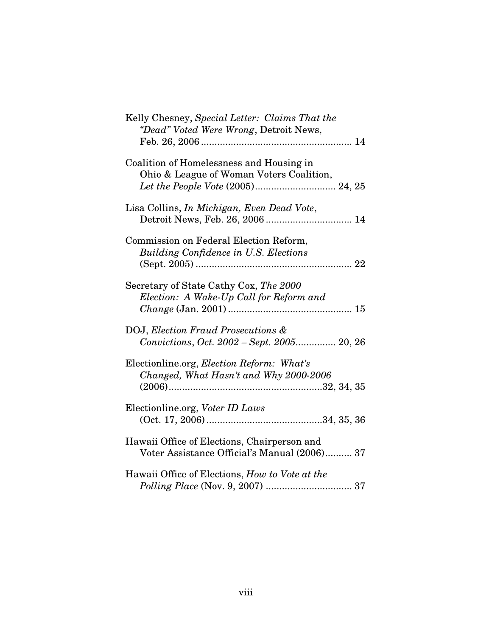| Kelly Chesney, Special Letter: Claims That the<br><i>"Dead" Voted Were Wrong</i> , Detroit News, |
|--------------------------------------------------------------------------------------------------|
|                                                                                                  |
| Coalition of Homelessness and Housing in<br>Ohio & League of Woman Voters Coalition,             |
| Lisa Collins, In Michigan, Even Dead Vote,                                                       |
| Commission on Federal Election Reform,<br><b>Building Confidence in U.S. Elections</b>           |
| Secretary of State Cathy Cox, The 2000<br>Election: A Wake-Up Call for Reform and                |
| DOJ, Election Fraud Prosecutions &<br>Convictions, Oct. 2002 - Sept. 2005 20, 26                 |
| Electionline.org, Election Reform: What's<br>Changed, What Hasn't and Why 2000-2006              |
| Electionline.org, Voter ID Laws                                                                  |
| Hawaii Office of Elections, Chairperson and<br>Voter Assistance Official's Manual (2006) 37      |
| Hawaii Office of Elections, How to Vote at the                                                   |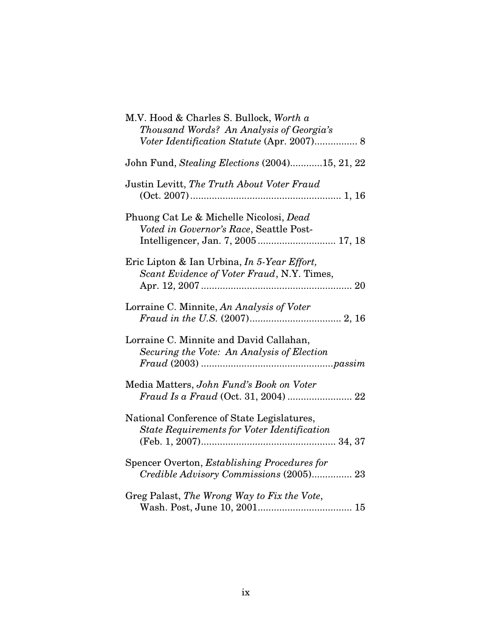| M.V. Hood & Charles S. Bullock, Worth a<br>Thousand Words? An Analysis of Georgia's<br>Voter Identification Statute (Apr. 2007) 8 |
|-----------------------------------------------------------------------------------------------------------------------------------|
| John Fund, Stealing Elections (2004)15, 21, 22                                                                                    |
| Justin Levitt, The Truth About Voter Fraud                                                                                        |
| Phuong Cat Le & Michelle Nicolosi, Dead<br>Voted in Governor's Race, Seattle Post-<br>Intelligencer, Jan. 7, 2005 17, 18          |
| Eric Lipton & Ian Urbina, In 5-Year Effort,<br>Scant Evidence of Voter Fraud, N.Y. Times,                                         |
| Lorraine C. Minnite, An Analysis of Voter                                                                                         |
| Lorraine C. Minnite and David Callahan,<br>Securing the Vote: An Analysis of Election                                             |
| Media Matters, John Fund's Book on Voter                                                                                          |
| National Conference of State Legislatures,<br><b>State Requirements for Voter Identification</b>                                  |
| Spencer Overton, <i>Establishing Procedures for</i><br>Credible Advisory Commissions (2005) 23                                    |
| Greg Palast, The Wrong Way to Fix the Vote,                                                                                       |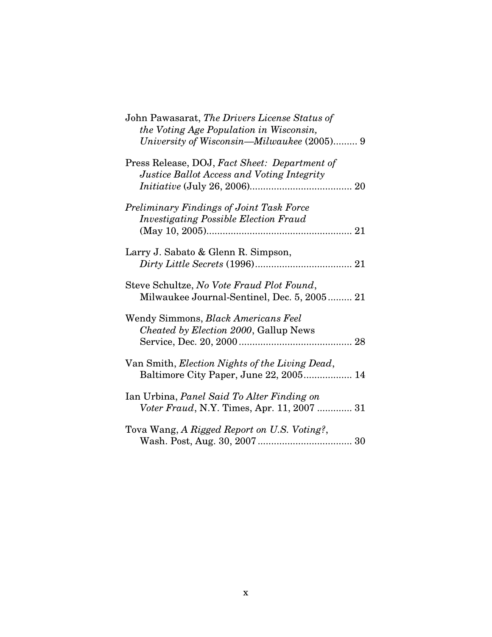| John Pawasarat, The Drivers License Status of<br>the Voting Age Population in Wisconsin,<br>University of Wisconsin—Milwaukee (2005) 9 |
|----------------------------------------------------------------------------------------------------------------------------------------|
| Press Release, DOJ, Fact Sheet: Department of<br>Justice Ballot Access and Voting Integrity                                            |
| Preliminary Findings of Joint Task Force<br><b>Investigating Possible Election Fraud</b>                                               |
| Larry J. Sabato & Glenn R. Simpson,                                                                                                    |
| Steve Schultze, No Vote Fraud Plot Found,<br>Milwaukee Journal-Sentinel, Dec. 5, 2005 21                                               |
| Wendy Simmons, Black Americans Feel<br>Cheated by Election 2000, Gallup News                                                           |
| Van Smith, Election Nights of the Living Dead,<br>Baltimore City Paper, June 22, 2005 14                                               |
| Ian Urbina, Panel Said To Alter Finding on<br>Voter Fraud, N.Y. Times, Apr. 11, 2007  31                                               |
| Tova Wang, A Rigged Report on U.S. Voting?,                                                                                            |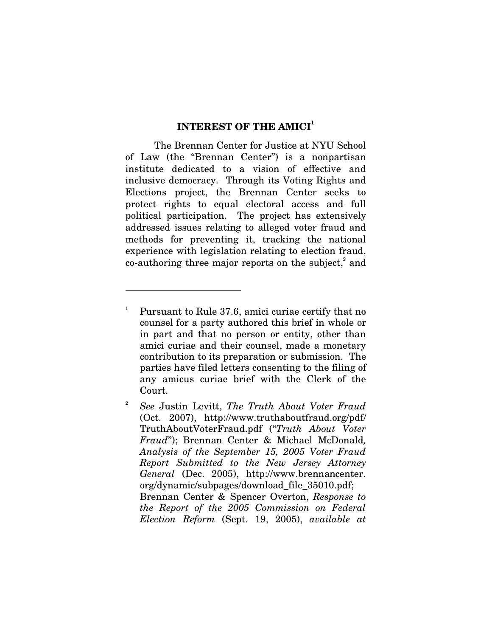### **INTEREST OF THE AMICI 1**

The Brennan Center for Justice at NYU School of Law (the "Brennan Center") is a nonpartisan institute dedicated to a vision of effective and inclusive democracy. Through its Voting Rights and Elections project, the Brennan Center seeks to protect rights to equal electoral access and full political participation. The project has extensively addressed issues relating to alleged voter fraud and methods for preventing it, tracking the national experience with legislation relating to election fraud, co-authoring three major reports on the subject,<sup>2</sup> and

<sup>1</sup> Pursuant to Rule 37.6, amici curiae certify that no counsel for a party authored this brief in whole or in part and that no person or entity, other than amici curiae and their counsel, made a monetary contribution to its preparation or submission. The parties have filed letters consenting to the filing of any amicus curiae brief with the Clerk of the Court.

<sup>2</sup> *See* Justin Levitt, *The Truth About Voter Fraud* (Oct. 2007), http://www.truthaboutfraud.org/pdf/ TruthAboutVoterFraud.pdf ("*Truth About Voter Fraud*"); Brennan Center & Michael McDonald*, Analysis of the September 15, 2005 Voter Fraud Report Submitted to the New Jersey Attorney General* (Dec. 2005), http://www.brennancenter. org/dynamic/subpages/download\_file\_35010.pdf; Brennan Center & Spencer Overton, *Response to the Report of the 2005 Commission on Federal Election Reform* (Sept. 19, 2005), *available at*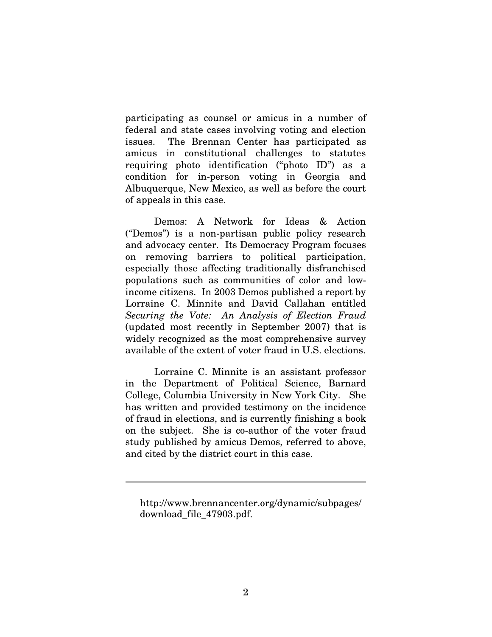participating as counsel or amicus in a number of federal and state cases involving voting and election issues. The Brennan Center has participated as amicus in constitutional challenges to statutes requiring photo identification ("photo ID") as a condition for in-person voting in Georgia and Albuquerque, New Mexico, as well as before the court of appeals in this case.

Demos: A Network for Ideas & Action ("Demos") is a non-partisan public policy research and advocacy center. Its Democracy Program focuses on removing barriers to political participation, especially those affecting traditionally disfranchised populations such as communities of color and lowincome citizens. In 2003 Demos published a report by Lorraine C. Minnite and David Callahan entitled *Securing the Vote: An Analysis of Election Fraud* (updated most recently in September 2007) that is widely recognized as the most comprehensive survey available of the extent of voter fraud in U.S. elections.

Lorraine C. Minnite is an assistant professor in the Department of Political Science, Barnard College, Columbia University in New York City. She has written and provided testimony on the incidence of fraud in elections, and is currently finishing a book on the subject. She is co-author of the voter fraud study published by amicus Demos, referred to above, and cited by the district court in this case.

http://www.brennancenter.org/dynamic/subpages/ download\_file\_47903.pdf.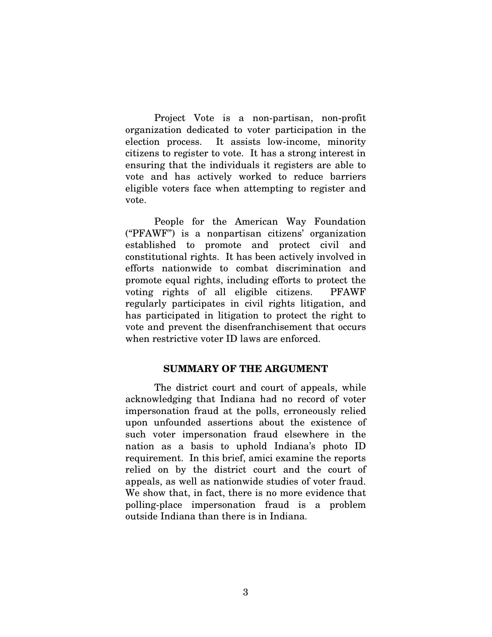Project Vote is a non-partisan, non-profit organization dedicated to voter participation in the election process. It assists low-income, minority citizens to register to vote. It has a strong interest in ensuring that the individuals it registers are able to vote and has actively worked to reduce barriers eligible voters face when attempting to register and vote.

People for the American Way Foundation ("PFAWF") is a nonpartisan citizens' organization established to promote and protect civil and constitutional rights. It has been actively involved in efforts nationwide to combat discrimination and promote equal rights, including efforts to protect the voting rights of all eligible citizens. PFAWF regularly participates in civil rights litigation, and has participated in litigation to protect the right to vote and prevent the disenfranchisement that occurs when restrictive voter ID laws are enforced.

#### **SUMMARY OF THE ARGUMENT**

The district court and court of appeals, while acknowledging that Indiana had no record of voter impersonation fraud at the polls, erroneously relied upon unfounded assertions about the existence of such voter impersonation fraud elsewhere in the nation as a basis to uphold Indiana's photo ID requirement. In this brief, amici examine the reports relied on by the district court and the court of appeals, as well as nationwide studies of voter fraud. We show that, in fact, there is no more evidence that polling-place impersonation fraud is a problem outside Indiana than there is in Indiana.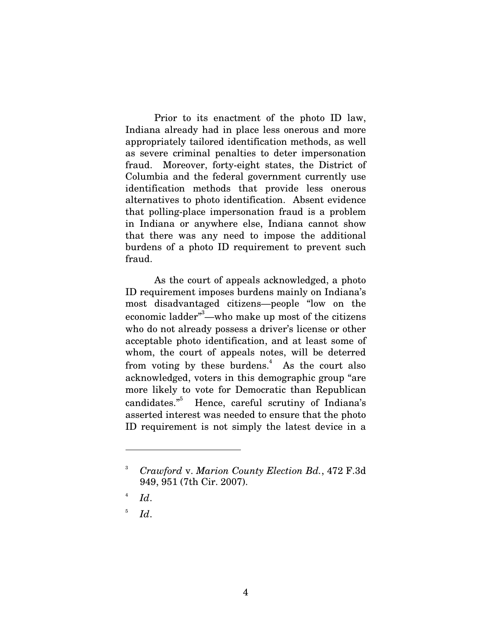Prior to its enactment of the photo ID law, Indiana already had in place less onerous and more appropriately tailored identification methods, as well as severe criminal penalties to deter impersonation fraud. Moreover, forty-eight states, the District of Columbia and the federal government currently use identification methods that provide less onerous alternatives to photo identification. Absent evidence that polling-place impersonation fraud is a problem in Indiana or anywhere else, Indiana cannot show that there was any need to impose the additional burdens of a photo ID requirement to prevent such fraud.

As the court of appeals acknowledged, a photo ID requirement imposes burdens mainly on Indiana's most disadvantaged citizens—people "low on the economic ladder" <sup>3</sup>—who make up most of the citizens who do not already possess a driver's license or other acceptable photo identification, and at least some of whom, the court of appeals notes, will be deterred from voting by these burdens.<sup>4</sup> As the court also acknowledged, voters in this demographic group "are more likely to vote for Democratic than Republican candidates." <sup>5</sup> Hence, careful scrutiny of Indiana's asserted interest was needed to ensure that the photo ID requirement is not simply the latest device in a

5 *Id*.

<sup>3</sup> *Crawford* v. *Marion County Election Bd.*, 472 F.3d 949, 951 (7th Cir. 2007).

<sup>4</sup> *Id*.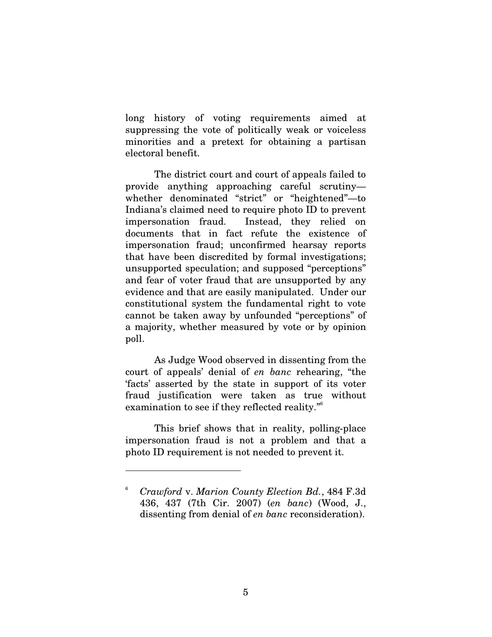long history of voting requirements aimed at suppressing the vote of politically weak or voiceless minorities and a pretext for obtaining a partisan electoral benefit.

The district court and court of appeals failed to provide anything approaching careful scrutiny whether denominated "strict" or "heightened"—to Indiana's claimed need to require photo ID to prevent impersonation fraud. Instead, they relied on documents that in fact refute the existence of impersonation fraud; unconfirmed hearsay reports that have been discredited by formal investigations; unsupported speculation; and supposed "perceptions" and fear of voter fraud that are unsupported by any evidence and that are easily manipulated. Under our constitutional system the fundamental right to vote cannot be taken away by unfounded "perceptions" of a majority, whether measured by vote or by opinion poll.

As Judge Wood observed in dissenting from the court of appeals' denial of *en banc* rehearing, "the 'facts' asserted by the state in support of its voter fraud justification were taken as true without examination to see if they reflected reality." 6

This brief shows that in reality, polling-place impersonation fraud is not a problem and that a photo ID requirement is not needed to prevent it.

<sup>6</sup> *Crawford* v. *Marion County Election Bd.*, 484 F.3d 436, 437 (7th Cir. 2007) (*en banc*) (Wood, J., dissenting from denial of *en banc* reconsideration).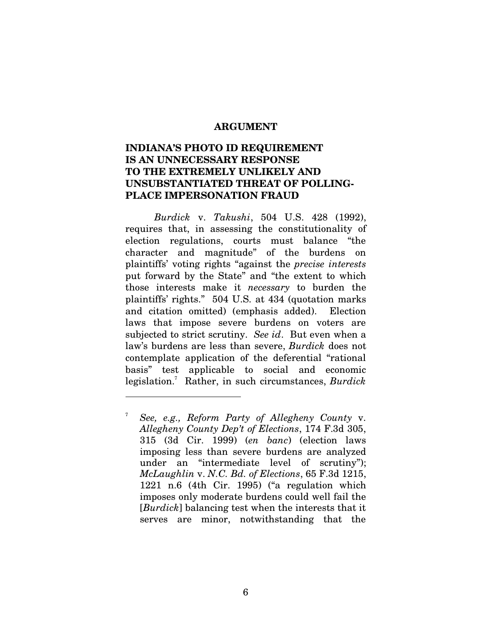#### **ARGUMENT**

### **INDIANA'S PHOTO ID REQUIREMENT IS AN UNNECESSARY RESPONSE TO THE EXTREMELY UNLIKELY AND UNSUBSTANTIATED THREAT OF POLLING-PLACE IMPERSONATION FRAUD**

*Burdick* v. *Takushi*, 504 U.S. 428 (1992), requires that, in assessing the constitutionality of election regulations, courts must balance "the character and magnitude" of the burdens on plaintiffs' voting rights "against the *precise interests* put forward by the State" and "the extent to which those interests make it *necessary* to burden the plaintiffs' rights." 504 U.S. at 434 (quotation marks and citation omitted) (emphasis added). Election laws that impose severe burdens on voters are subjected to strict scrutiny. *See id*. But even when a law's burdens are less than severe, *Burdick* does not contemplate application of the deferential "rational basis" test applicable to social and economic legislation. <sup>7</sup> Rather, in such circumstances, *Burdick*

<sup>7</sup> *See, e.g., Reform Party of Allegheny County* v. *Allegheny County Dep't of Elections*, 174 F.3d 305, 315 (3d Cir. 1999) (*en banc*) (election laws imposing less than severe burdens are analyzed under an "intermediate level of scrutiny"); *McLaughlin* v. *N.C. Bd. of Elections*, 65 F.3d 1215, 1221 n.6 (4th Cir. 1995) ("a regulation which imposes only moderate burdens could well fail the [*Burdick*] balancing test when the interests that it serves are minor, notwithstanding that the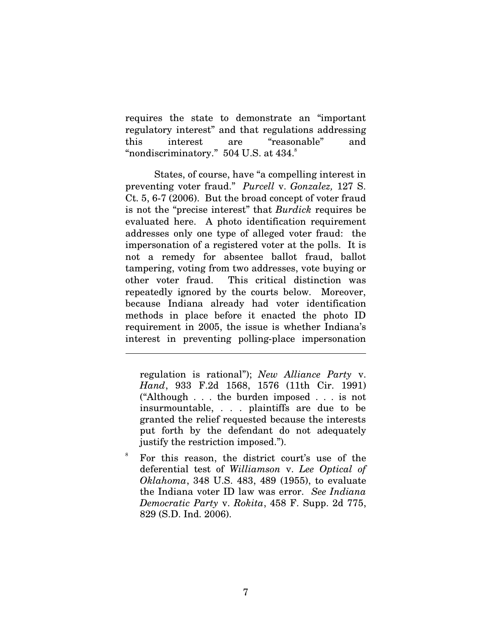requires the state to demonstrate an "important regulatory interest" and that regulations addressing this interest are "reasonable" and  $\lq$  "nondiscriminatory."  $\,504$  U.S. at  $434.^\circ$ 

States, of course, have "a compelling interest in preventing voter fraud." *Purcell* v. *Gonzalez,* 127 S. Ct. 5, 6-7 (2006). But the broad concept of voter fraud is not the "precise interest" that *Burdick* requires be evaluated here. A photo identification requirement addresses only one type of alleged voter fraud: the impersonation of a registered voter at the polls. It is not a remedy for absentee ballot fraud, ballot tampering, voting from two addresses, vote buying or other voter fraud. This critical distinction was repeatedly ignored by the courts below. Moreover, because Indiana already had voter identification methods in place before it enacted the photo ID requirement in 2005, the issue is whether Indiana's interest in preventing polling-place impersonation

regulation is rational"); *New Alliance Party* v. *Hand*, 933 F.2d 1568, 1576 (11th Cir. 1991) ("Although . . . the burden imposed . . . is not insurmountable, . . . plaintiffs are due to be granted the relief requested because the interests put forth by the defendant do not adequately justify the restriction imposed.").

<sup>8</sup> For this reason, the district court's use of the deferential test of *Williamson* v. *Lee Optical of Oklahoma*, 348 U.S. 483, 489 (1955), to evaluate the Indiana voter ID law was error. *See Indiana Democratic Party* v. *Rokita*, 458 F. Supp. 2d 775, 829 (S.D. Ind. 2006).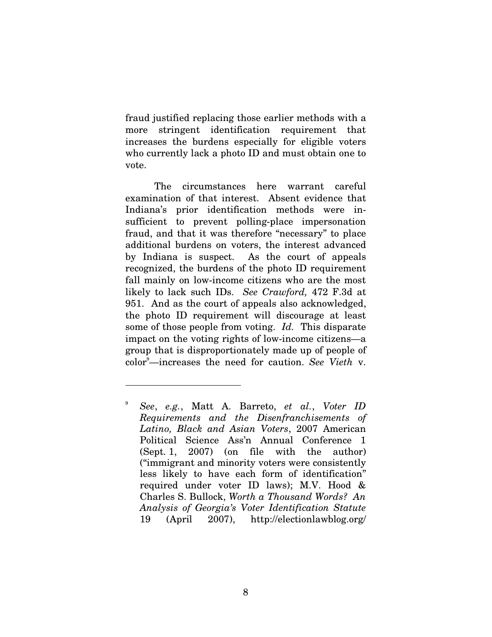fraud justified replacing those earlier methods with a more stringent identification requirement that increases the burdens especially for eligible voters who currently lack a photo ID and must obtain one to vote.

The circumstances here warrant careful examination of that interest. Absent evidence that Indiana's prior identification methods were insufficient to prevent polling-place impersonation fraud, and that it was therefore "necessary" to place additional burdens on voters, the interest advanced by Indiana is suspect. As the court of appeals recognized, the burdens of the photo ID requirement fall mainly on low-income citizens who are the most likely to lack such IDs. *See Crawford,* 472 F.3d at 951. And as the court of appeals also acknowledged, the photo ID requirement will discourage at least some of those people from voting. *Id.* This disparate impact on the voting rights of low-income citizens—a group that is disproportionately made up of people of color <sup>9</sup>—increases the need for caution. *See Vieth* v.

<sup>9</sup> *See*, *e.g.*, Matt A. Barreto, *et al.*, *Voter ID Requirements and the Disenfranchisements of Latino, Black and Asian Voters*, 2007 American Political Science Ass'n Annual Conference 1 (Sept. 1, 2007) (on file with the author) ("immigrant and minority voters were consistently less likely to have each form of identification" required under voter ID laws); M.V. Hood & Charles S. Bullock, *Worth a Thousand Words? An Analysis of Georgia's Voter Identification Statute* 19 (April 2007), http://electionlawblog.org/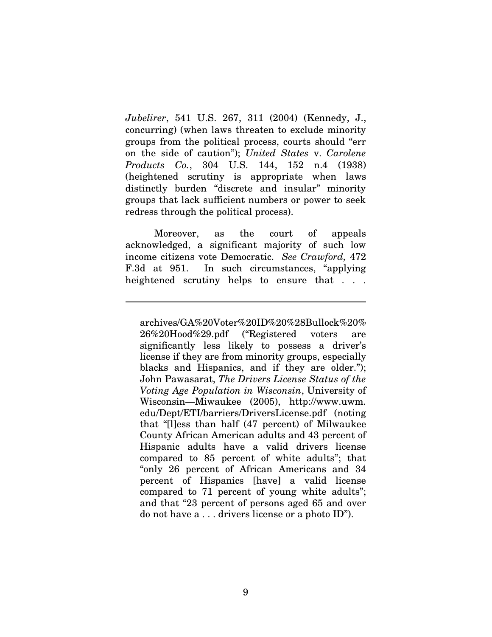*Jubelirer*, 541 U.S. 267, 311 (2004) (Kennedy, J., concurring) (when laws threaten to exclude minority groups from the political process, courts should "err on the side of caution"); *United States* v. *Carolene Products Co.*, 304 U.S. 144, 152 n.4 (1938) (heightened scrutiny is appropriate when laws distinctly burden "discrete and insular" minority groups that lack sufficient numbers or power to seek redress through the political process).

Moreover, as the court of appeals acknowledged, a significant majority of such low income citizens vote Democratic. *See Crawford,* 472 F.3d at 951. In such circumstances, "applying heightened scrutiny helps to ensure that . . .

archives/GA%20Voter%20ID%20%28Bullock%20% 26%20Hood%29.pdf ("Registered voters are significantly less likely to possess a driver's license if they are from minority groups, especially blacks and Hispanics, and if they are older."); John Pawasarat, *The Drivers License Status of the Voting Age Population in Wisconsin*, University of Wisconsin—Miwaukee (2005), http://www.uwm. edu/Dept/ETI/barriers/DriversLicense.pdf (noting that "[l]ess than half (47 percent) of Milwaukee County African American adults and 43 percent of Hispanic adults have a valid drivers license compared to 85 percent of white adults"; that "only 26 percent of African Americans and 34 percent of Hispanics [have] a valid license compared to 71 percent of young white adults"; and that "23 percent of persons aged 65 and over do not have a . . . drivers license or a photo ID").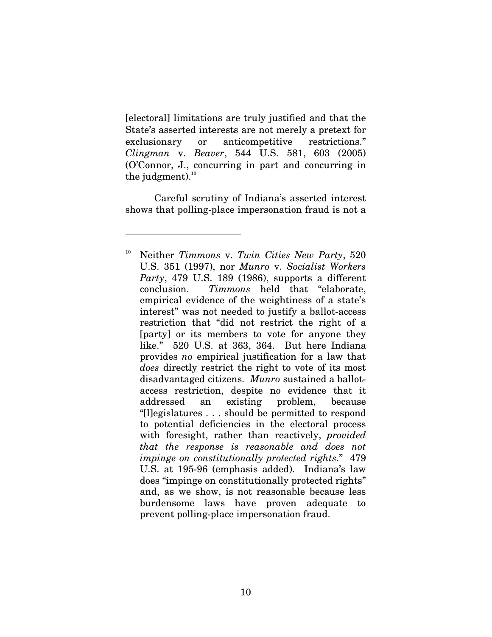[electoral] limitations are truly justified and that the State's asserted interests are not merely a pretext for exclusionary or anticompetitive restrictions." *Clingman* v. *Beaver*, 544 U.S. 581, 603 (2005) (O'Connor, J., concurring in part and concurring in the judgment). $^{\rm 10}$ 

Careful scrutiny of Indiana's asserted interest shows that polling-place impersonation fraud is not a

<sup>10</sup> Neither *Timmons* v. *Twin Cities New Party*, 520 U.S. 351 (1997), nor *Munro* v. *Socialist Workers Party*, 479 U.S. 189 (1986), supports a different conclusion. *Timmons* held that "elaborate, empirical evidence of the weightiness of a state's interest" was not needed to justify a ballot-access restriction that "did not restrict the right of a [party] or its members to vote for anyone they like." 520 U.S. at 363, 364. But here Indiana provides *no* empirical justification for a law that *does* directly restrict the right to vote of its most disadvantaged citizens. *Munro* sustained a ballotaccess restriction, despite no evidence that it addressed an existing problem, because "[l]egislatures . . . should be permitted to respond to potential deficiencies in the electoral process with foresight, rather than reactively, *provided that the response is reasonable and does not impinge on constitutionally protected rights*." 479 U.S. at 195-96 (emphasis added). Indiana's law does "impinge on constitutionally protected rights" and, as we show, is not reasonable because less burdensome laws have proven adequate to prevent polling-place impersonation fraud.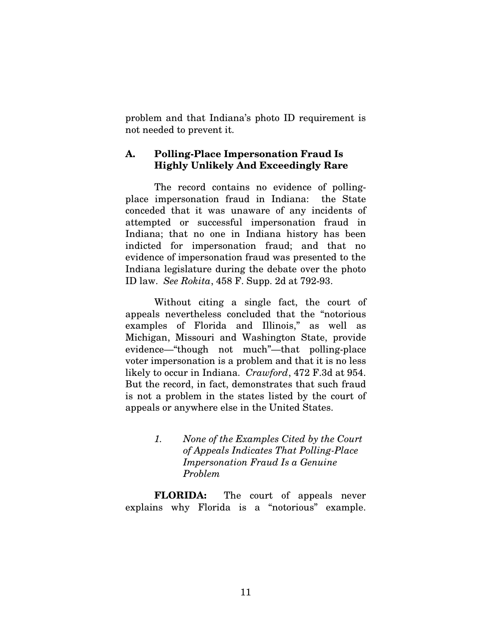problem and that Indiana's photo ID requirement is not needed to prevent it.

#### **A. Polling-Place Impersonation Fraud Is Highly Unlikely And Exceedingly Rare**

The record contains no evidence of pollingplace impersonation fraud in Indiana: the State conceded that it was unaware of any incidents of attempted or successful impersonation fraud in Indiana; that no one in Indiana history has been indicted for impersonation fraud; and that no evidence of impersonation fraud was presented to the Indiana legislature during the debate over the photo ID law. *See Rokita*, 458 F. Supp. 2d at 792-93.

Without citing a single fact, the court of appeals nevertheless concluded that the "notorious examples of Florida and Illinois," as well as Michigan, Missouri and Washington State, provide evidence—"though not much"—that polling-place voter impersonation is a problem and that it is no less likely to occur in Indiana. *Crawford*, 472 F.3d at 954. But the record, in fact, demonstrates that such fraud is not a problem in the states listed by the court of appeals or anywhere else in the United States.

> *1. None of the Examples Cited by the Court of Appeals Indicates That Polling-Place Impersonation Fraud Is a Genuine Problem*

**FLORIDA:** The court of appeals never explains why Florida is a "notorious" example.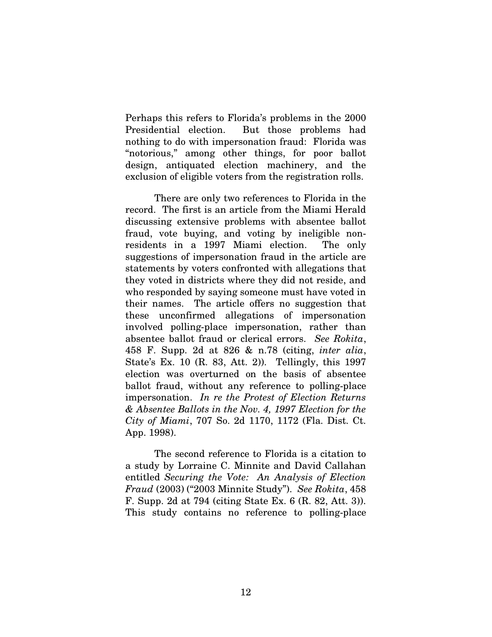Perhaps this refers to Florida's problems in the 2000 Presidential election. But those problems had nothing to do with impersonation fraud: Florida was "notorious," among other things, for poor ballot design, antiquated election machinery, and the exclusion of eligible voters from the registration rolls.

There are only two references to Florida in the record. The first is an article from the Miami Herald discussing extensive problems with absentee ballot fraud, vote buying, and voting by ineligible nonresidents in a 1997 Miami election. The only suggestions of impersonation fraud in the article are statements by voters confronted with allegations that they voted in districts where they did not reside, and who responded by saying someone must have voted in their names. The article offers no suggestion that these unconfirmed allegations of impersonation involved polling-place impersonation, rather than absentee ballot fraud or clerical errors. *See Rokita*, 458 F. Supp. 2d at 826 & n.78 (citing, *inter alia*, State's Ex. 10 (R. 83, Att. 2)). Tellingly, this 1997 election was overturned on the basis of absentee ballot fraud, without any reference to polling-place impersonation. *In re the Protest of Election Returns & Absentee Ballots in the Nov. 4, 1997 Election for the City of Miami*, 707 So. 2d 1170, 1172 (Fla. Dist. Ct. App. 1998).

The second reference to Florida is a citation to a study by Lorraine C. Minnite and David Callahan entitled *Securing the Vote: An Analysis of Election Fraud* (2003) ("2003 Minnite Study"). *See Rokita*, 458 F. Supp. 2d at 794 (citing State Ex. 6 (R. 82, Att. 3)). This study contains no reference to polling-place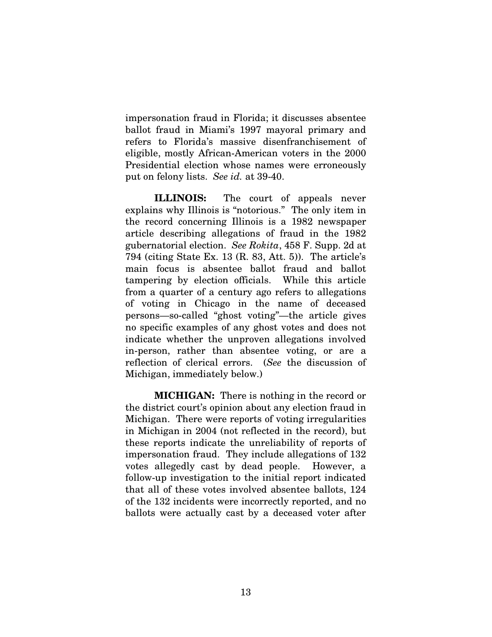impersonation fraud in Florida; it discusses absentee ballot fraud in Miami's 1997 mayoral primary and refers to Florida's massive disenfranchisement of eligible, mostly African-American voters in the 2000 Presidential election whose names were erroneously put on felony lists. *See id.* at 39-40.

**ILLINOIS:** The court of appeals never explains why Illinois is "notorious." The only item in the record concerning Illinois is a 1982 newspaper article describing allegations of fraud in the 1982 gubernatorial election. *See Rokita*, 458 F. Supp. 2d at 794 (citing State Ex. 13 (R. 83, Att. 5)). The article's main focus is absentee ballot fraud and ballot tampering by election officials. While this article from a quarter of a century ago refers to allegations of voting in Chicago in the name of deceased persons—so-called "ghost voting"—the article gives no specific examples of any ghost votes and does not indicate whether the unproven allegations involved in-person, rather than absentee voting, or are a reflection of clerical errors. (*See* the discussion of Michigan, immediately below.)

**MICHIGAN:** There is nothing in the record or the district court's opinion about any election fraud in Michigan. There were reports of voting irregularities in Michigan in 2004 (not reflected in the record), but these reports indicate the unreliability of reports of impersonation fraud. They include allegations of 132 votes allegedly cast by dead people. However, a follow-up investigation to the initial report indicated that all of these votes involved absentee ballots, 124 of the 132 incidents were incorrectly reported, and no ballots were actually cast by a deceased voter after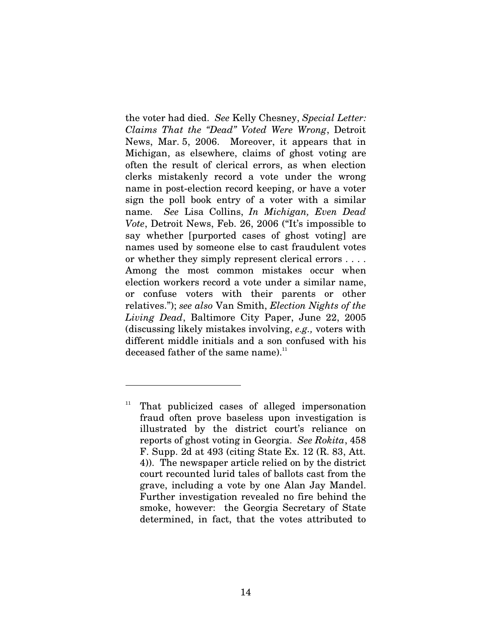the voter had died. *See* Kelly Chesney, *Special Letter: Claims That the "Dead" Voted Were Wrong*, Detroit News, Mar. 5, 2006. Moreover, it appears that in Michigan, as elsewhere, claims of ghost voting are often the result of clerical errors, as when election clerks mistakenly record a vote under the wrong name in post-election record keeping, or have a voter sign the poll book entry of a voter with a similar name. *See* Lisa Collins, *In Michigan, Even Dead Vote*, Detroit News, Feb. 26, 2006 ("It's impossible to say whether [purported cases of ghost voting] are names used by someone else to cast fraudulent votes or whether they simply represent clerical errors . . . . Among the most common mistakes occur when election workers record a vote under a similar name, or confuse voters with their parents or other relatives."); *see also* Van Smith, *Election Nights of the Living Dead*, Baltimore City Paper, June 22, 2005 (discussing likely mistakes involving, *e.g.,* voters with different middle initials and a son confused with his deceased father of the same name).<sup>11</sup>

That publicized cases of alleged impersonation fraud often prove baseless upon investigation is illustrated by the district court's reliance on reports of ghost voting in Georgia. *See Rokita*, 458 F. Supp. 2d at 493 (citing State Ex. 12 (R. 83, Att. 4)). The newspaper article relied on by the district court recounted lurid tales of ballots cast from the grave, including a vote by one Alan Jay Mandel. Further investigation revealed no fire behind the smoke, however: the Georgia Secretary of State determined, in fact, that the votes attributed to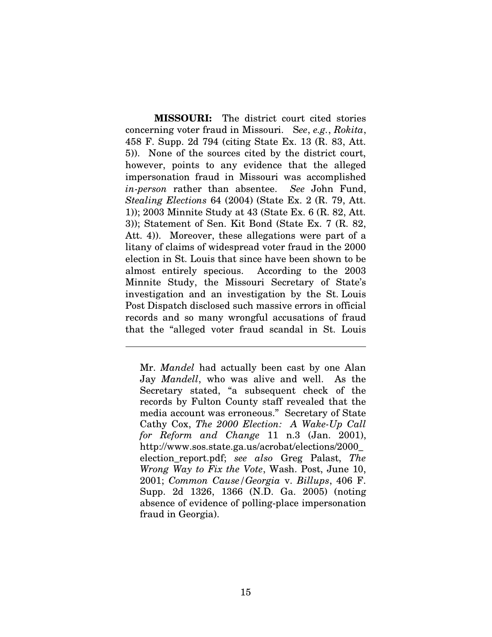**MISSOURI:** The district court cited stories concerning voter fraud in Missouri. S*ee*, *e.g.*, *Rokita*, 458 F. Supp. 2d 794 (citing State Ex. 13 (R. 83, Att. 5)). None of the sources cited by the district court, however, points to any evidence that the alleged impersonation fraud in Missouri was accomplished *in-person* rather than absentee. *See* John Fund, *Stealing Elections* 64 (2004) (State Ex. 2 (R. 79, Att. 1)); 2003 Minnite Study at 43 (State Ex. 6 (R. 82, Att. 3)); Statement of Sen. Kit Bond (State Ex. 7 (R. 82, Att. 4)). Moreover, these allegations were part of a litany of claims of widespread voter fraud in the 2000 election in St. Louis that since have been shown to be almost entirely specious. According to the 2003 Minnite Study, the Missouri Secretary of State's investigation and an investigation by the St. Louis Post Dispatch disclosed such massive errors in official records and so many wrongful accusations of fraud that the "alleged voter fraud scandal in St. Louis

Mr. *Mandel* had actually been cast by one Alan Jay *Mandell*, who was alive and well. As the Secretary stated, "a subsequent check of the records by Fulton County staff revealed that the media account was erroneous." Secretary of State Cathy Cox, *The 2000 Election: A Wake-Up Call for Reform and Change* 11 n.3 (Jan. 2001), http://www.sos.state.ga.us/acrobat/elections/2000\_ election\_report.pdf; *see also* Greg Palast, *The Wrong Way to Fix the Vote*, Wash. Post, June 10, 2001; *Common Cause/Georgia* v. *Billups*, 406 F. Supp. 2d 1326, 1366 (N.D. Ga. 2005) (noting absence of evidence of polling-place impersonation fraud in Georgia).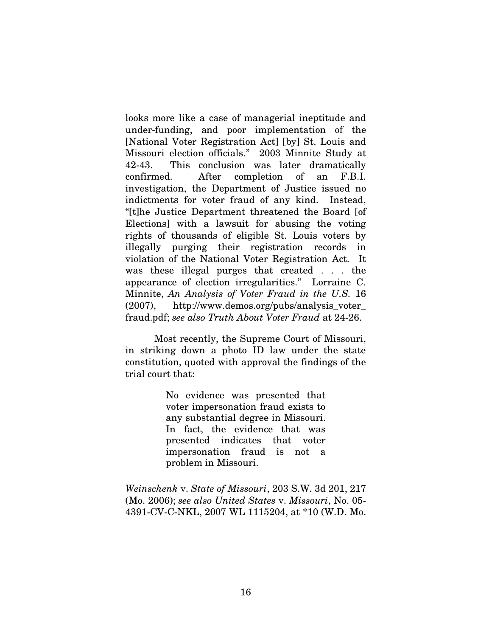looks more like a case of managerial ineptitude and under-funding, and poor implementation of the [National Voter Registration Act] [by] St. Louis and Missouri election officials." 2003 Minnite Study at 42-43. This conclusion was later dramatically confirmed. After completion of an F.B.I. investigation, the Department of Justice issued no indictments for voter fraud of any kind. Instead, "[t]he Justice Department threatened the Board [of Elections] with a lawsuit for abusing the voting rights of thousands of eligible St. Louis voters by illegally purging their registration records in violation of the National Voter Registration Act. It was these illegal purges that created . . . the appearance of election irregularities." Lorraine C. Minnite, *An Analysis of Voter Fraud in the U.S.* 16  $(2007)$ , http://www.demos.org/pubs/analysis voter fraud.pdf; *see also Truth About Voter Fraud* at 24-26.

Most recently, the Supreme Court of Missouri, in striking down a photo ID law under the state constitution, quoted with approval the findings of the trial court that:

> No evidence was presented that voter impersonation fraud exists to any substantial degree in Missouri. In fact, the evidence that was presented indicates that voter impersonation fraud is not a problem in Missouri.

*Weinschenk* v. *State of Missouri*, 203 S.W. 3d 201, 217 (Mo. 2006); *see also United States* v. *Missouri*, No. 05- 4391-CV-C-NKL, 2007 WL 1115204, at \*10 (W.D. Mo.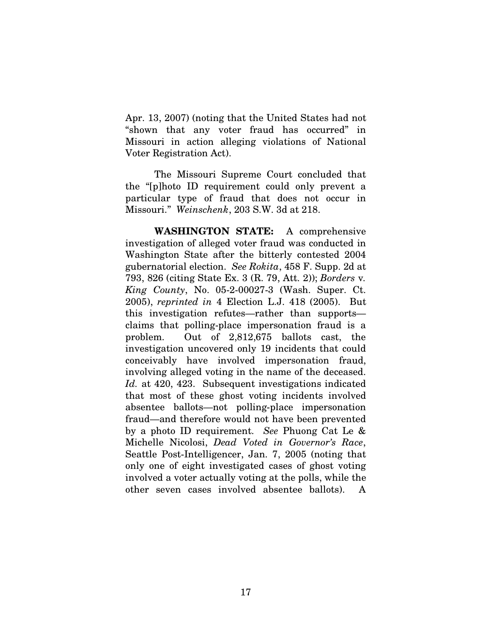Apr. 13, 2007) (noting that the United States had not "shown that any voter fraud has occurred" in Missouri in action alleging violations of National Voter Registration Act).

The Missouri Supreme Court concluded that the "[p]hoto ID requirement could only prevent a particular type of fraud that does not occur in Missouri." *Weinschenk*, 203 S.W. 3d at 218.

**WASHINGTON STATE:** A comprehensive investigation of alleged voter fraud was conducted in Washington State after the bitterly contested 2004 gubernatorial election. *See Rokita*, 458 F. Supp. 2d at 793, 826 (citing State Ex. 3 (R. 79, Att. 2)); *Borders* v*. King County*, No. 05-2-00027-3 (Wash. Super. Ct. 2005), *reprinted in* 4 Election L.J. 418 (2005). But this investigation refutes—rather than supports claims that polling-place impersonation fraud is a problem. Out of 2,812,675 ballots cast, the investigation uncovered only 19 incidents that could conceivably have involved impersonation fraud, involving alleged voting in the name of the deceased. *Id.* at 420, 423. Subsequent investigations indicated that most of these ghost voting incidents involved absentee ballots—not polling-place impersonation fraud—and therefore would not have been prevented by a photo ID requirement. *See* Phuong Cat Le & Michelle Nicolosi, *Dead Voted in Governor's Race*, Seattle Post-Intelligencer, Jan. 7, 2005 (noting that only one of eight investigated cases of ghost voting involved a voter actually voting at the polls, while the other seven cases involved absentee ballots). A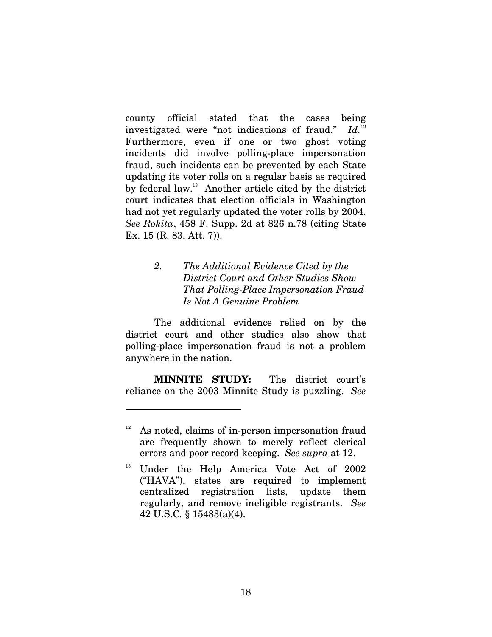county official stated that the cases being investigated were "not indications of fraud."  $Id.$ <sup>12</sup> Furthermore, even if one or two ghost voting incidents did involve polling-place impersonation fraud, such incidents can be prevented by each State updating its voter rolls on a regular basis as required by federal law. <sup>13</sup> Another article cited by the district court indicates that election officials in Washington had not yet regularly updated the voter rolls by 2004. *See Rokita*, 458 F. Supp. 2d at 826 n.78 (citing State Ex. 15 (R. 83, Att. 7)).

> *2. The Additional Evidence Cited by the District Court and Other Studies Show That Polling-Place Impersonation Fraud Is Not A Genuine Problem*

The additional evidence relied on by the district court and other studies also show that polling-place impersonation fraud is not a problem anywhere in the nation.

**MINNITE STUDY:** The district court's reliance on the 2003 Minnite Study is puzzling. *See*

 $12$  As noted, claims of in-person impersonation fraud are frequently shown to merely reflect clerical errors and poor record keeping. *See supra* at 12.

<sup>&</sup>lt;sup>13</sup> Under the Help America Vote Act of 2002 ("HAVA"), states are required to implement centralized registration lists, update them regularly, and remove ineligible registrants. *See* 42 U.S.C*.* § 15483(a)(4).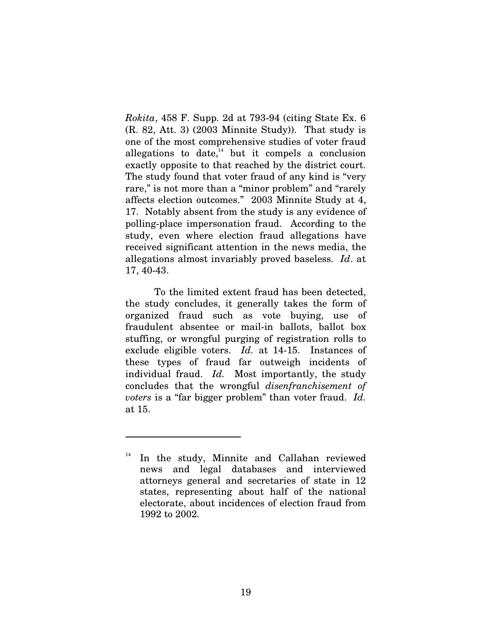*Rokita*, 458 F. Supp. 2d at 793-94 (citing State Ex. 6 (R. 82, Att. 3) (2003 Minnite Study)). That study is one of the most comprehensive studies of voter fraud allegations to date,<sup>14</sup> but it compels a conclusion exactly opposite to that reached by the district court. The study found that voter fraud of any kind is "very rare," is not more than a "minor problem" and "rarely affects election outcomes." 2003 Minnite Study at 4, 17. Notably absent from the study is any evidence of polling-place impersonation fraud. According to the study, even where election fraud allegations have received significant attention in the news media, the allegations almost invariably proved baseless. *Id*. at 17, 40-43.

To the limited extent fraud has been detected, the study concludes, it generally takes the form of organized fraud such as vote buying, use of fraudulent absentee or mail-in ballots, ballot box stuffing, or wrongful purging of registration rolls to exclude eligible voters. *Id.* at 14-15. Instances of these types of fraud far outweigh incidents of individual fraud. *Id.* Most importantly, the study concludes that the wrongful *disenfranchisement of voters* is a "far bigger problem" than voter fraud. *Id.* at 15.

<sup>14</sup> In the study, Minnite and Callahan reviewed news and legal databases and interviewed attorneys general and secretaries of state in 12 states, representing about half of the national electorate, about incidences of election fraud from 1992 to 2002.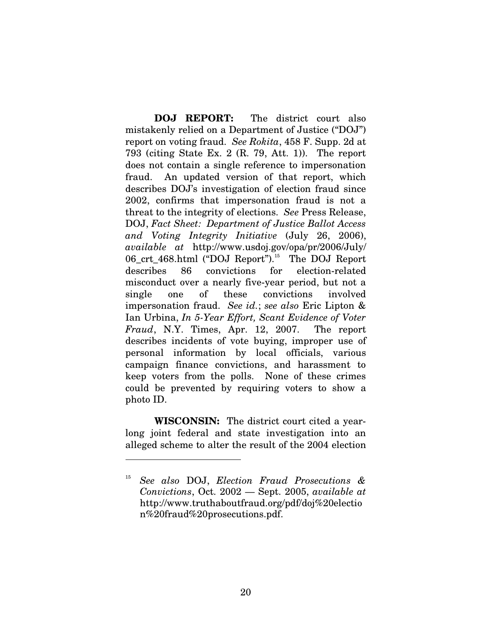**DOJ REPORT:** The district court also mistakenly relied on a Department of Justice ("DOJ") report on voting fraud. *See Rokita*, 458 F. Supp. 2d at 793 (citing State Ex. 2 (R. 79, Att. 1)). The report does not contain a single reference to impersonation fraud. An updated version of that report, which describes DOJ's investigation of election fraud since 2002, confirms that impersonation fraud is not a threat to the integrity of elections. *See* Press Release, DOJ, *Fact Sheet: Department of Justice Ballot Access and Voting Integrity Initiative* (July 26, 2006), *available at* http://www.usdoj.gov/opa/pr/2006/July/ 06\_crt\_468.html ("DOJ Report"). <sup>15</sup> The DOJ Report describes 86 convictions for election-related misconduct over a nearly five-year period, but not a single one of these convictions involved impersonation fraud. *See id.*; *see also* Eric Lipton & Ian Urbina, *In 5-Year Effort, Scant Evidence of Voter Fraud*, N.Y. Times, Apr. 12, 2007. The report describes incidents of vote buying, improper use of personal information by local officials, various campaign finance convictions, and harassment to keep voters from the polls. None of these crimes could be prevented by requiring voters to show a photo ID.

**WISCONSIN:** The district court cited a yearlong joint federal and state investigation into an alleged scheme to alter the result of the 2004 election

<sup>15</sup> *See also* DOJ, *Election Fraud Prosecutions & Convictions*, Oct. 2002 — Sept. 2005, *available at* http://www.truthaboutfraud.org/pdf/doj%20electio n%20fraud%20prosecutions.pdf.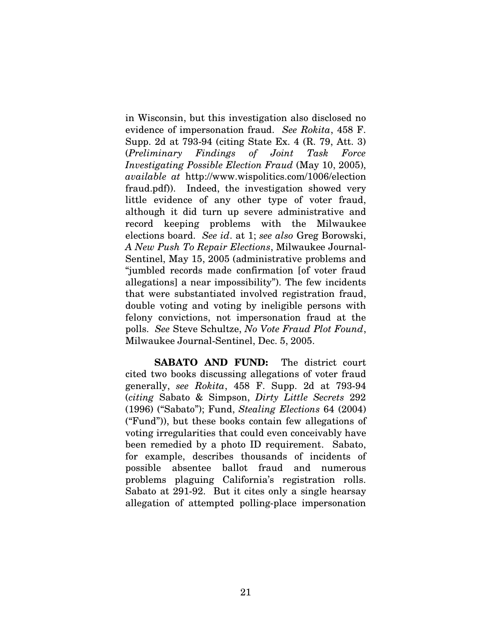in Wisconsin, but this investigation also disclosed no evidence of impersonation fraud. *See Rokita*, 458 F. Supp. 2d at 793-94 (citing State Ex. 4 (R. 79, Att. 3) (*Preliminary Findings of Joint Task Force Investigating Possible Election Fraud* (May 10, 2005), *available at* http://www.wispolitics.com/1006/election fraud.pdf)). Indeed, the investigation showed very little evidence of any other type of voter fraud, although it did turn up severe administrative and record keeping problems with the Milwaukee elections board. *See id*. at 1; *see also* Greg Borowski, *A New Push To Repair Elections*, Milwaukee Journal-Sentinel, May 15, 2005 (administrative problems and "jumbled records made confirmation [of voter fraud allegations] a near impossibility"). The few incidents that were substantiated involved registration fraud, double voting and voting by ineligible persons with felony convictions, not impersonation fraud at the polls. *See* Steve Schultze, *No Vote Fraud Plot Found*, Milwaukee Journal-Sentinel, Dec. 5, 2005.

**SABATO AND FUND:** The district court cited two books discussing allegations of voter fraud generally, *see Rokita*, 458 F. Supp. 2d at 793-94 (*citing* Sabato & Simpson, *Dirty Little Secrets* 292 (1996) ("Sabato"); Fund, *Stealing Elections* 64 (2004) ("Fund")), but these books contain few allegations of voting irregularities that could even conceivably have been remedied by a photo ID requirement. Sabato, for example, describes thousands of incidents of possible absentee ballot fraud and numerous problems plaguing California's registration rolls. Sabato at 291-92. But it cites only a single hearsay allegation of attempted polling-place impersonation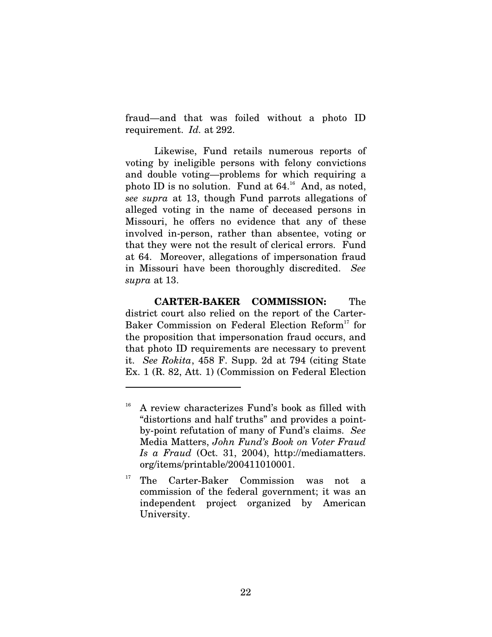fraud—and that was foiled without a photo ID requirement. *Id.* at 292.

Likewise, Fund retails numerous reports of voting by ineligible persons with felony convictions and double voting—problems for which requiring a photo ID is no solution. Fund at 64.<sup>16</sup> And, as noted, *see supra* at 13, though Fund parrots allegations of alleged voting in the name of deceased persons in Missouri, he offers no evidence that any of these involved in-person, rather than absentee, voting or that they were not the result of clerical errors. Fund at 64. Moreover, allegations of impersonation fraud in Missouri have been thoroughly discredited. *See supra* at 13.

**CARTER-BAKER COMMISSION:** The district court also relied on the report of the Carter-Baker Commission on Federal Election Reform<sup>17</sup> for the proposition that impersonation fraud occurs, and that photo ID requirements are necessary to prevent it. *See Rokita*, 458 F. Supp. 2d at 794 (citing State Ex. 1 (R. 82, Att. 1) (Commission on Federal Election

 $16$  A review characterizes Fund's book as filled with "distortions and half truths" and provides a pointby-point refutation of many of Fund's claims. *See* Media Matters, *John Fund's Book on Voter Fraud Is a Fraud* (Oct. 31, 2004), http://mediamatters. org/items/printable/200411010001.

<sup>&</sup>lt;sup>17</sup> The Carter-Baker Commission was not a commission of the federal government; it was an independent project organized by American University.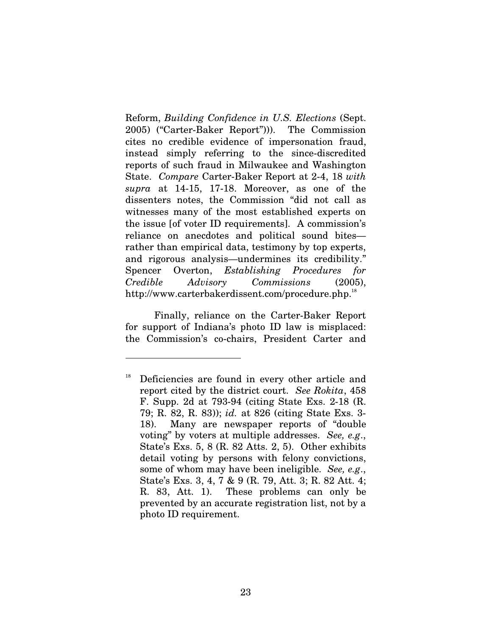Reform, *Building Confidence in U.S. Elections* (Sept. 2005) ("Carter-Baker Report"))). The Commission cites no credible evidence of impersonation fraud, instead simply referring to the since-discredited reports of such fraud in Milwaukee and Washington State. *Compare* Carter-Baker Report at 2-4, 18 *with supra* at 14-15, 17-18. Moreover, as one of the dissenters notes, the Commission "did not call as witnesses many of the most established experts on the issue [of voter ID requirements]. A commission's reliance on anecdotes and political sound bites rather than empirical data, testimony by top experts, and rigorous analysis—undermines its credibility." Spencer Overton, *Establishing Procedures for Credible Advisory Commissions* (2005),  ${\rm http://www.carterbakerdissent.com/procedure.php.}^{18}$ 

Finally, reliance on the Carter-Baker Report for support of Indiana's photo ID law is misplaced: the Commission's co-chairs, President Carter and

<sup>&</sup>lt;sup>18</sup> Deficiencies are found in every other article and report cited by the district court. *See Rokita*, 458 F. Supp. 2d at 793-94 (citing State Exs. 2-18 (R. 79; R. 82, R. 83)); *id.* at 826 (citing State Exs. 3- 18). Many are newspaper reports of "double voting" by voters at multiple addresses. *See, e.g*., State's Exs. 5, 8 (R. 82 Atts. 2, 5). Other exhibits detail voting by persons with felony convictions, some of whom may have been ineligible. *See, e.g*., State's Exs. 3, 4, 7 & 9 (R. 79, Att. 3; R. 82 Att. 4; R. 83, Att. 1). These problems can only be prevented by an accurate registration list, not by a photo ID requirement.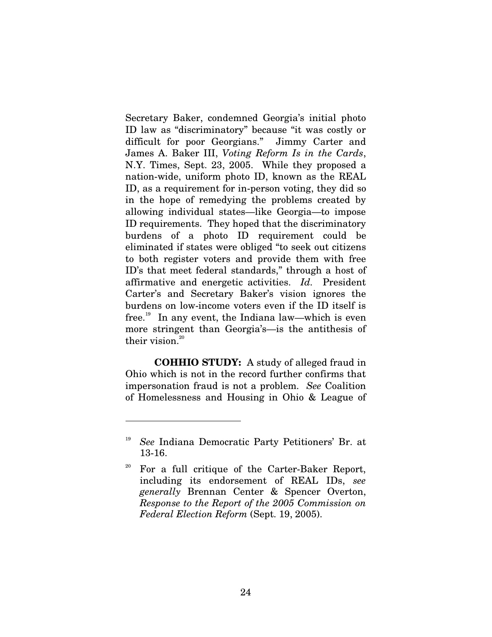Secretary Baker, condemned Georgia's initial photo ID law as "discriminatory" because "it was costly or difficult for poor Georgians." Jimmy Carter and James A. Baker III, *Voting Reform Is in the Cards*, N.Y. Times, Sept. 23, 2005. While they proposed a nation-wide, uniform photo ID, known as the REAL ID, as a requirement for in-person voting, they did so in the hope of remedying the problems created by allowing individual states—like Georgia—to impose ID requirements. They hoped that the discriminatory burdens of a photo ID requirement could be eliminated if states were obliged "to seek out citizens to both register voters and provide them with free ID's that meet federal standards," through a host of affirmative and energetic activities. *Id.* President Carter's and Secretary Baker's vision ignores the burdens on low-income voters even if the ID itself is free. 19 In any event, the Indiana law—which is even more stringent than Georgia's—is the antithesis of their vision. 20

**COHHIO STUDY:** A study of alleged fraud in Ohio which is not in the record further confirms that impersonation fraud is not a problem. *See* Coalition of Homelessness and Housing in Ohio & League of

<sup>19</sup> *See* Indiana Democratic Party Petitioners' Br. at 13-16.

<sup>&</sup>lt;sup>20</sup> For a full critique of the Carter-Baker Report, including its endorsement of REAL IDs, *see generally* Brennan Center & Spencer Overton, *Response to the Report of the 2005 Commission on Federal Election Reform* (Sept. 19, 2005).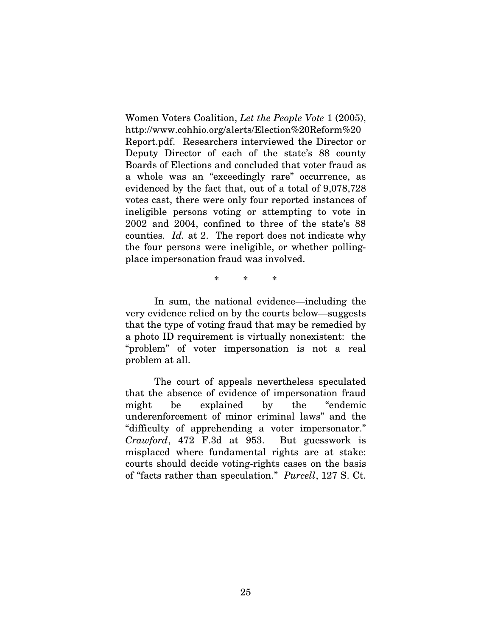Women Voters Coalition, *Let the People Vote* 1 (2005), http://www.cohhio.org/alerts/Election%20Reform%20 Report.pdf. Researchers interviewed the Director or Deputy Director of each of the state's 88 county Boards of Elections and concluded that voter fraud as a whole was an "exceedingly rare" occurrence, as evidenced by the fact that, out of a total of 9,078,728 votes cast, there were only four reported instances of ineligible persons voting or attempting to vote in 2002 and 2004, confined to three of the state's 88 counties. *Id.* at 2. The report does not indicate why the four persons were ineligible, or whether pollingplace impersonation fraud was involved.

\* \* \*

In sum, the national evidence—including the very evidence relied on by the courts below—suggests that the type of voting fraud that may be remedied by a photo ID requirement is virtually nonexistent: the "problem" of voter impersonation is not a real problem at all.

The court of appeals nevertheless speculated that the absence of evidence of impersonation fraud might be explained by the "endemic underenforcement of minor criminal laws" and the "difficulty of apprehending a voter impersonator." *Crawford*, 472 F.3d at 953. But guesswork is misplaced where fundamental rights are at stake: courts should decide voting-rights cases on the basis of "facts rather than speculation." *Purcell*, 127 S. Ct.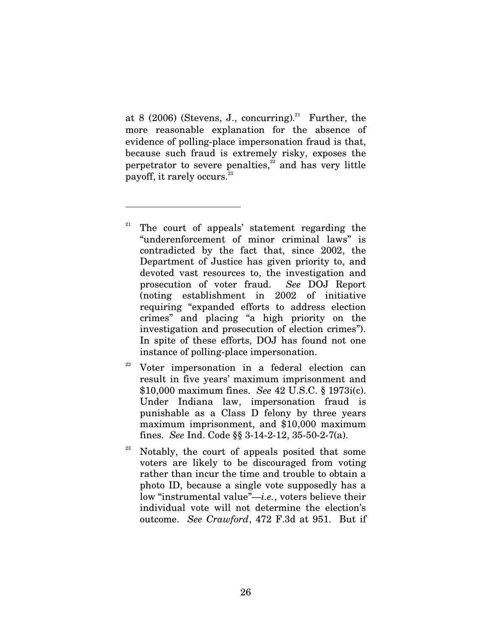at 8 (2006) (Stevens, J., concurring). <sup>21</sup> Further, the more reasonable explanation for the absence of evidence of polling-place impersonation fraud is that, because such fraud is extremely risky, exposes the perpetrator to severe penalties, 22 and has very little payoff, it rarely occurs. $^{\rm 23}$ 

- The court of appeals' statement regarding the "underenforcement of minor criminal laws" is contradicted by the fact that, since 2002, the Department of Justice has given priority to, and devoted vast resources to, the investigation and prosecution of voter fraud. *See* DOJ Report (noting establishment in 2002 of initiative requiring "expanded efforts to address election crimes" and placing "a high priority on the investigation and prosecution of election crimes"). In spite of these efforts, DOJ has found not one instance of polling-place impersonation.
- Voter impersonation in a federal election can result in five years' maximum imprisonment and \$10,000 maximum fines. *See* 42 U.S.C. § 1973i(c). Under Indiana law, impersonation fraud is punishable as a Class D felony by three years maximum imprisonment, and \$10,000 maximum fines. *See* Ind. Code §§ 3-14-2-12, 35-50-2-7(a).
- $23$  Notably, the court of appeals posited that some voters are likely to be discouraged from voting rather than incur the time and trouble to obtain a photo ID, because a single vote supposedly has a low "instrumental value"—*i.e.*, voters believe their individual vote will not determine the election's outcome. *See Crawford*, 472 F.3d at 951. But if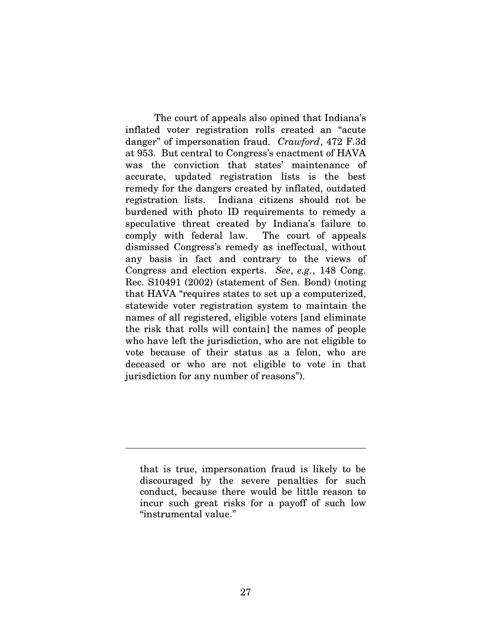The court of appeals also opined that Indiana's inflated voter registration rolls created an "acute danger" of impersonation fraud. *Crawford*, 472 F.3d at 953. But central to Congress's enactment of HAVA was the conviction that states' maintenance of accurate, updated registration lists is the best remedy for the dangers created by inflated, outdated registration lists. Indiana citizens should not be burdened with photo ID requirements to remedy a speculative threat created by Indiana's failure to comply with federal law. The court of appeals dismissed Congress's remedy as ineffectual, without any basis in fact and contrary to the views of Congress and election experts. *See*, *e.g.*, 148 Cong. Rec. S10491 (2002) (statement of Sen. Bond) (noting that HAVA "requires states to set up a computerized, statewide voter registration system to maintain the names of all registered, eligible voters [and eliminate the risk that rolls will contain] the names of people who have left the jurisdiction, who are not eligible to vote because of their status as a felon, who are deceased or who are not eligible to vote in that jurisdiction for any number of reasons").

that is true, impersonation fraud is likely to be discouraged by the severe penalties for such conduct, because there would be little reason to incur such great risks for a payoff of such low "instrumental value."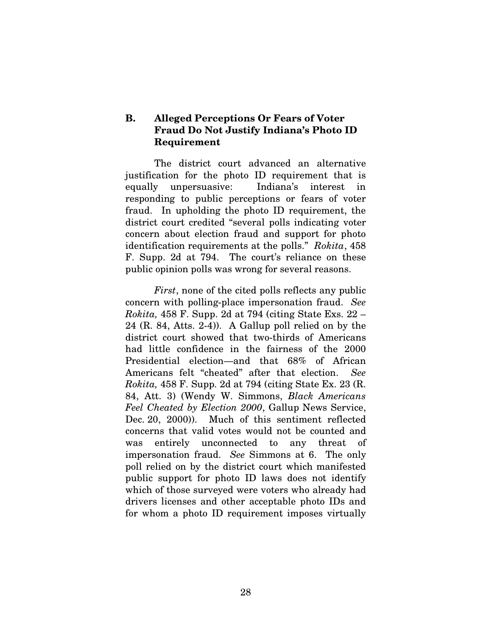### **B. Alleged Perceptions Or Fears of Voter Fraud Do Not Justify Indiana's Photo ID Requirement**

The district court advanced an alternative justification for the photo ID requirement that is equally unpersuasive: Indiana's interest in responding to public perceptions or fears of voter fraud. In upholding the photo ID requirement, the district court credited "several polls indicating voter concern about election fraud and support for photo identification requirements at the polls." *Rokita*, 458 F. Supp. 2d at 794. The court's reliance on these public opinion polls was wrong for several reasons.

*First*, none of the cited polls reflects any public concern with polling-place impersonation fraud. *See Rokita,* 458 F. Supp. 2d at 794 (citing State Exs. 22 – 24 (R. 84, Atts. 2-4)). A Gallup poll relied on by the district court showed that two-thirds of Americans had little confidence in the fairness of the 2000 Presidential election—and that 68% of African Americans felt "cheated" after that election. *See Rokita,* 458 F. Supp. 2d at 794 (citing State Ex. 23 (R. 84, Att. 3) (Wendy W. Simmons, *Black Americans Feel Cheated by Election 2000*, Gallup News Service, Dec. 20, 2000)). Much of this sentiment reflected concerns that valid votes would not be counted and was entirely unconnected to any threat of impersonation fraud. *See* Simmons at 6. The only poll relied on by the district court which manifested public support for photo ID laws does not identify which of those surveyed were voters who already had drivers licenses and other acceptable photo IDs and for whom a photo ID requirement imposes virtually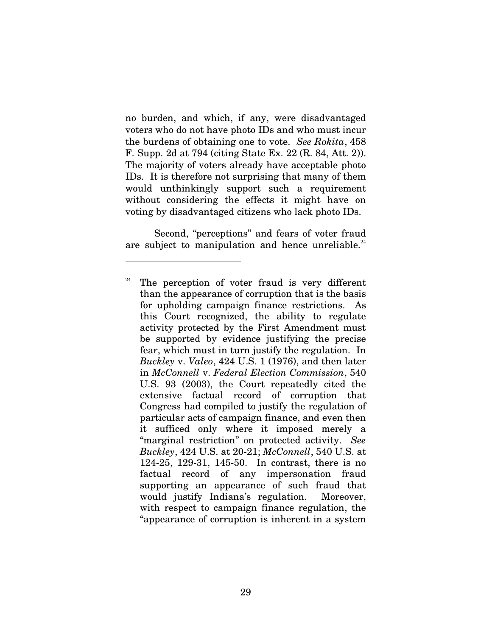no burden, and which, if any, were disadvantaged voters who do not have photo IDs and who must incur the burdens of obtaining one to vote. *See Rokita*, 458 F. Supp. 2d at 794 (citing State Ex. 22 (R. 84, Att. 2)). The majority of voters already have acceptable photo IDs. It is therefore not surprising that many of them would unthinkingly support such a requirement without considering the effects it might have on voting by disadvantaged citizens who lack photo IDs.

Second, "perceptions" and fears of voter fraud are subject to manipulation and hence unreliable.<sup>24</sup>

 $24$  The perception of voter fraud is very different than the appearance of corruption that is the basis for upholding campaign finance restrictions. As this Court recognized, the ability to regulate activity protected by the First Amendment must be supported by evidence justifying the precise fear, which must in turn justify the regulation. In *Buckley* v. *Valeo*, 424 U.S. 1 (1976), and then later in *McConnell* v. *Federal Election Commission*, 540 U.S. 93 (2003), the Court repeatedly cited the extensive factual record of corruption that Congress had compiled to justify the regulation of particular acts of campaign finance, and even then it sufficed only where it imposed merely a "marginal restriction" on protected activity. *See Buckley*, 424 U.S. at 20-21; *McConnell*, 540 U.S. at 124-25, 129-31, 145-50. In contrast, there is no factual record of any impersonation fraud supporting an appearance of such fraud that would justify Indiana's regulation. Moreover, with respect to campaign finance regulation, the "appearance of corruption is inherent in a system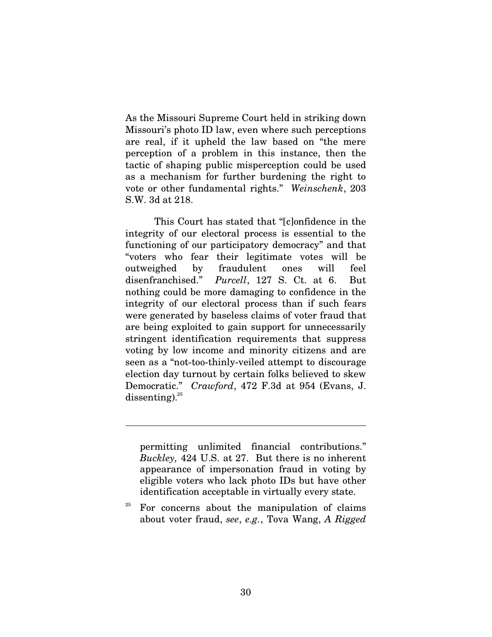As the Missouri Supreme Court held in striking down Missouri's photo ID law, even where such perceptions are real, if it upheld the law based on "the mere perception of a problem in this instance, then the tactic of shaping public misperception could be used as a mechanism for further burdening the right to vote or other fundamental rights." *Weinschenk*, 203 S.W. 3d at 218.

This Court has stated that "[c]onfidence in the integrity of our electoral process is essential to the functioning of our participatory democracy" and that "voters who fear their legitimate votes will be outweighed by fraudulent ones will feel disenfranchised." *Purcell*, 127 S. Ct. at 6. But nothing could be more damaging to confidence in the integrity of our electoral process than if such fears were generated by baseless claims of voter fraud that are being exploited to gain support for unnecessarily stringent identification requirements that suppress voting by low income and minority citizens and are seen as a "not-too-thinly-veiled attempt to discourage election day turnout by certain folks believed to skew Democratic." *Crawford*, 472 F.3d at 954 (Evans, J.  ${\rm dissenting}.^{^{25}}$ 

permitting unlimited financial contributions." *Buckley,* 424 U.S. at 27. But there is no inherent appearance of impersonation fraud in voting by eligible voters who lack photo IDs but have other identification acceptable in virtually every state.

For concerns about the manipulation of claims about voter fraud, *see*, *e.g.*, Tova Wang, *A Rigged*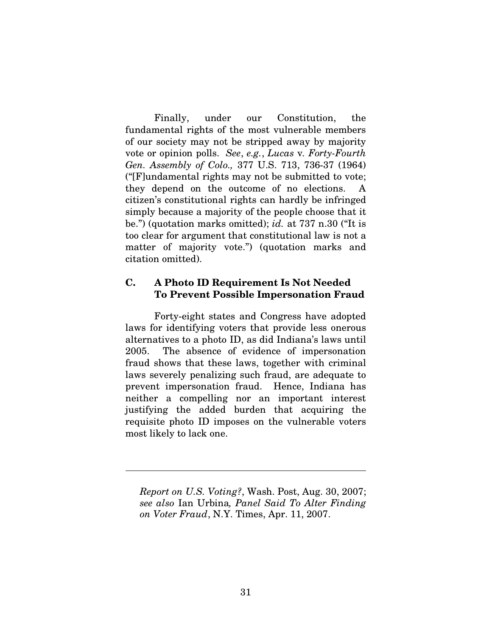Finally, under our Constitution, the fundamental rights of the most vulnerable members of our society may not be stripped away by majority vote or opinion polls. *See*, *e.g.*, *Lucas* v*. Forty-Fourth Gen. Assembly of Colo.,* 377 U.S. 713, 736-37 (1964) ("[F]undamental rights may not be submitted to vote; they depend on the outcome of no elections. A citizen's constitutional rights can hardly be infringed simply because a majority of the people choose that it be.") (quotation marks omitted); *id.* at 737 n.30 ("It is too clear for argument that constitutional law is not a matter of majority vote.") (quotation marks and citation omitted).

#### **C. A Photo ID Requirement Is Not Needed To Prevent Possible Impersonation Fraud**

Forty-eight states and Congress have adopted laws for identifying voters that provide less onerous alternatives to a photo ID, as did Indiana's laws until 2005. The absence of evidence of impersonation fraud shows that these laws, together with criminal laws severely penalizing such fraud, are adequate to prevent impersonation fraud. Hence, Indiana has neither a compelling nor an important interest justifying the added burden that acquiring the requisite photo ID imposes on the vulnerable voters most likely to lack one.

*Report on U.S. Voting?*, Wash. Post, Aug. 30, 2007; *see also* Ian Urbina*, Panel Said To Alter Finding on Voter Fraud*, N.Y. Times, Apr. 11, 2007.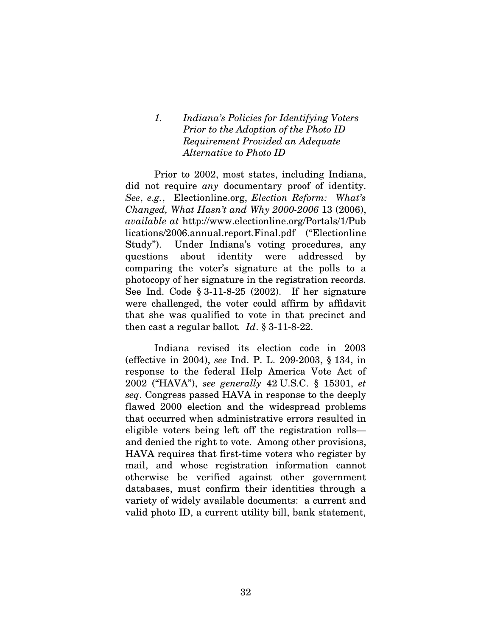*1. Indiana's Policies for Identifying Voters Prior to the Adoption of the Photo ID Requirement Provided an Adequate Alternative to Photo ID*

Prior to 2002, most states, including Indiana, did not require *any* documentary proof of identity. *See*, *e.g.*, Electionline.org, *Election Reform: What's Changed, What Hasn't and Why 2000-2006* 13 (2006), *available at* http://www.electionline.org/Portals/1/Pub lications/2006.annual.report.Final.pdf ("Electionline Study"). Under Indiana's voting procedures, any questions about identity were addressed by comparing the voter's signature at the polls to a photocopy of her signature in the registration records. See Ind. Code § 3-11-8-25 (2002). If her signature were challenged, the voter could affirm by affidavit that she was qualified to vote in that precinct and then cast a regular ballot*. Id*. § 3-11-8-22.

Indiana revised its election code in 2003 (effective in 2004), *see* Ind. P. L. 209-2003, § 134, in response to the federal Help America Vote Act of 2002 ("HAVA"), *see generally* 42 U.S.C. § 15301, *et seq*. Congress passed HAVA in response to the deeply flawed 2000 election and the widespread problems that occurred when administrative errors resulted in eligible voters being left off the registration rolls and denied the right to vote. Among other provisions, HAVA requires that first-time voters who register by mail, and whose registration information cannot otherwise be verified against other government databases, must confirm their identities through a variety of widely available documents: a current and valid photo ID, a current utility bill, bank statement,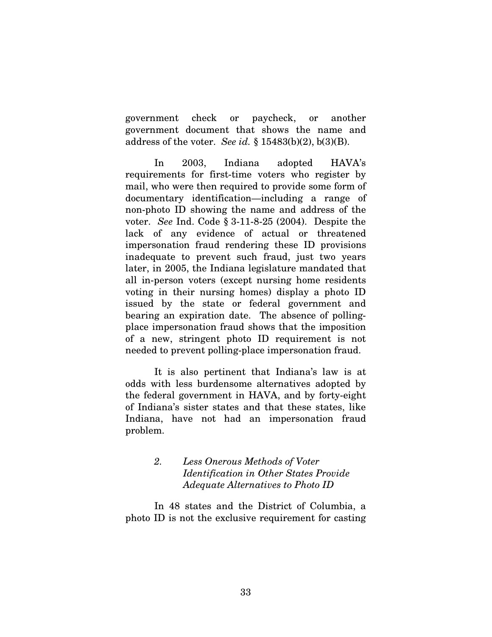government check or paycheck, or another government document that shows the name and address of the voter. *See id.* § 15483(b)(2), b(3)(B).

In 2003, Indiana adopted HAVA's requirements for first-time voters who register by mail, who were then required to provide some form of documentary identification—including a range of non-photo ID showing the name and address of the voter. *See* Ind. Code § 3-11-8-25 (2004). Despite the lack of any evidence of actual or threatened impersonation fraud rendering these ID provisions inadequate to prevent such fraud, just two years later, in 2005, the Indiana legislature mandated that all in-person voters (except nursing home residents voting in their nursing homes) display a photo ID issued by the state or federal government and bearing an expiration date. The absence of pollingplace impersonation fraud shows that the imposition of a new, stringent photo ID requirement is not needed to prevent polling-place impersonation fraud.

It is also pertinent that Indiana's law is at odds with less burdensome alternatives adopted by the federal government in HAVA, and by forty-eight of Indiana's sister states and that these states, like Indiana, have not had an impersonation fraud problem.

### *2. Less Onerous Methods of Voter Identification in Other States Provide Adequate Alternatives to Photo ID*

In 48 states and the District of Columbia, a photo ID is not the exclusive requirement for casting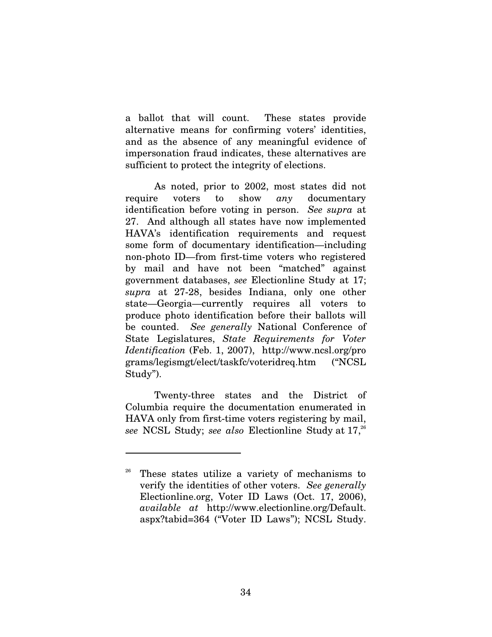a ballot that will count. These states provide alternative means for confirming voters' identities, and as the absence of any meaningful evidence of impersonation fraud indicates, these alternatives are sufficient to protect the integrity of elections.

As noted, prior to 2002, most states did not require voters to show *any* documentary identification before voting in person. *See supra* at 27. And although all states have now implemented HAVA's identification requirements and request some form of documentary identification—including non-photo ID—from first-time voters who registered by mail and have not been "matched" against government databases, *see* Electionline Study at 17; *supra* at 27-28, besides Indiana, only one other state—Georgia—currently requires all voters to produce photo identification before their ballots will be counted. *See generally* National Conference of State Legislatures, *State Requirements for Voter Identification* (Feb. 1, 2007), http://www.ncsl.org/pro grams/legismgt/elect/taskfc/voteridreq.htm ("NCSL Study").

Twenty-three states and the District of Columbia require the documentation enumerated in HAVA only from first-time voters registering by mail, *see* NCSL Study; *see also* Electionline Study at 17, 26

These states utilize a variety of mechanisms to verify the identities of other voters. *See generally* Electionline.org, Voter ID Laws (Oct. 17, 2006), *available at* http://www.electionline.org/Default. aspx?tabid=364 ("Voter ID Laws"); NCSL Study.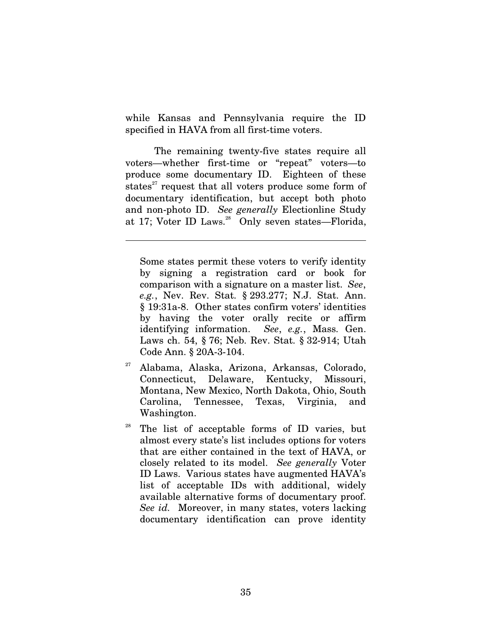while Kansas and Pennsylvania require the ID specified in HAVA from all first-time voters.

The remaining twenty-five states require all voters—whether first-time or "repeat" voters—to produce some documentary ID. Eighteen of these states<sup>27</sup> request that all voters produce some form of documentary identification, but accept both photo and non-photo ID. *See generally* Electionline Study at 17; Voter ID Laws. <sup>28</sup> Only seven states—Florida,

Some states permit these voters to verify identity by signing a registration card or book for comparison with a signature on a master list. *See*, *e.g.*, Nev. Rev. Stat. § 293.277; N.J. Stat. Ann. § 19:31a-8. Other states confirm voters' identities by having the voter orally recite or affirm identifying information. *See*, *e.g.*, Mass. Gen. Laws ch. 54, § 76; Neb. Rev. Stat. § 32-914; Utah Code Ann. § 20A-3-104.

- <sup>27</sup> Alabama, Alaska, Arizona, Arkansas, Colorado, Connecticut, Delaware, Kentucky, Missouri, Montana, New Mexico, North Dakota, Ohio, South Carolina, Tennessee, Texas, Virginia, and Washington.
- The list of acceptable forms of ID varies, but almost every state's list includes options for voters that are either contained in the text of HAVA, or closely related to its model. *See generally* Voter ID Laws. Various states have augmented HAVA's list of acceptable IDs with additional, widely available alternative forms of documentary proof. *See id.* Moreover, in many states, voters lacking documentary identification can prove identity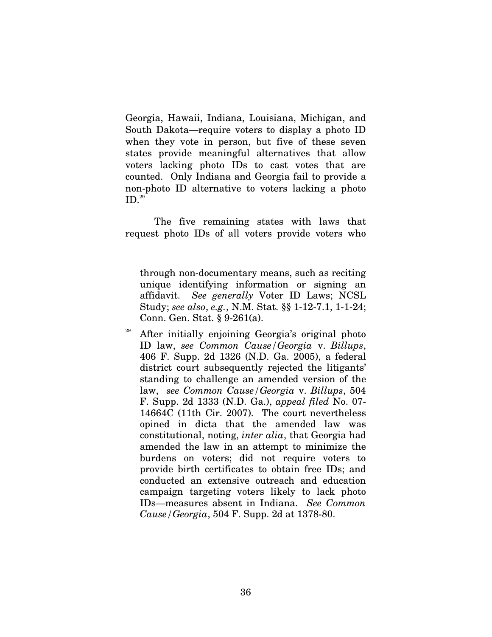Georgia, Hawaii, Indiana, Louisiana, Michigan, and South Dakota—require voters to display a photo ID when they vote in person, but five of these seven states provide meaningful alternatives that allow voters lacking photo IDs to cast votes that are counted. Only Indiana and Georgia fail to provide a non-photo ID alternative to voters lacking a photo  ${\rm ID.}^{29}$ 

The five remaining states with laws that request photo IDs of all voters provide voters who

through non-documentary means, such as reciting unique identifying information or signing an affidavit. *See generally* Voter ID Laws; NCSL Study; *see also*, *e.g.*, N.M. Stat. §§ 1-12-7.1, 1-1-24; Conn. Gen. Stat. § 9-261(a).

After initially enjoining Georgia's original photo ID law, *see Common Cause/Georgia* v. *Billups*, 406 F. Supp. 2d 1326 (N.D. Ga. 2005), a federal district court subsequently rejected the litigants' standing to challenge an amended version of the law, *see Common Cause/Georgia* v. *Billups*, 504 F. Supp. 2d 1333 (N.D. Ga.), *appeal filed* No. 07- 14664C (11th Cir. 2007). The court nevertheless opined in dicta that the amended law was constitutional, noting, *inter alia*, that Georgia had amended the law in an attempt to minimize the burdens on voters; did not require voters to provide birth certificates to obtain free IDs; and conducted an extensive outreach and education campaign targeting voters likely to lack photo IDs—measures absent in Indiana. *See Common Cause/Georgia*, 504 F. Supp. 2d at 1378-80.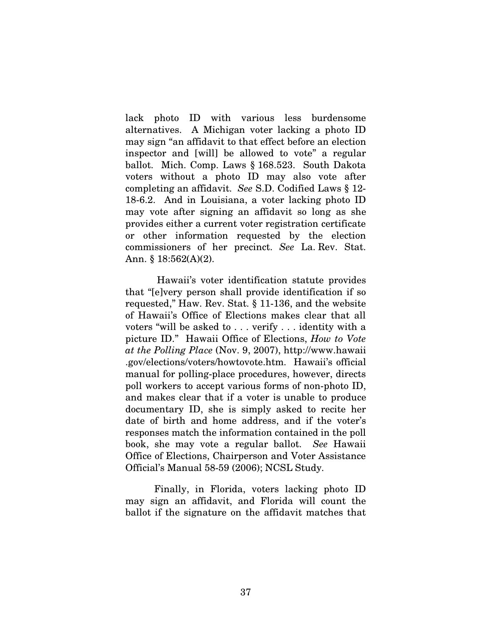lack photo ID with various less burdensome alternatives. A Michigan voter lacking a photo ID may sign "an affidavit to that effect before an election inspector and [will] be allowed to vote" a regular ballot. Mich. Comp. Laws § 168.523. South Dakota voters without a photo ID may also vote after completing an affidavit. *See* S.D. Codified Laws § 12- 18-6.2. And in Louisiana, a voter lacking photo ID may vote after signing an affidavit so long as she provides either a current voter registration certificate or other information requested by the election commissioners of her precinct. *See* La. Rev. Stat. Ann. § 18:562(A)(2).

Hawaii's voter identification statute provides that "[e]very person shall provide identification if so requested," Haw. Rev. Stat. § 11-136, and the website of Hawaii's Office of Elections makes clear that all voters "will be asked to . . . verify . . . identity with a picture ID." Hawaii Office of Elections, *How to Vote at the Polling Place* (Nov. 9, 2007), http://www.hawaii .gov/elections/voters/howtovote.htm. Hawaii's official manual for polling-place procedures, however, directs poll workers to accept various forms of non-photo ID, and makes clear that if a voter is unable to produce documentary ID, she is simply asked to recite her date of birth and home address, and if the voter's responses match the information contained in the poll book, she may vote a regular ballot. *See* Hawaii Office of Elections, Chairperson and Voter Assistance Official's Manual 58-59 (2006); NCSL Study.

Finally, in Florida, voters lacking photo ID may sign an affidavit, and Florida will count the ballot if the signature on the affidavit matches that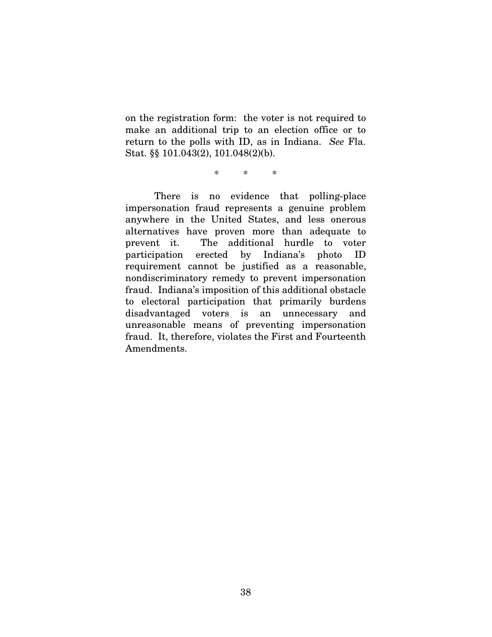on the registration form: the voter is not required to make an additional trip to an election office or to return to the polls with ID, as in Indiana. *See* Fla. Stat. §§ 101.043(2), 101.048(2)(b).

\* \* \*

There is no evidence that polling-place impersonation fraud represents a genuine problem anywhere in the United States, and less onerous alternatives have proven more than adequate to prevent it. The additional hurdle to voter participation erected by Indiana's photo ID requirement cannot be justified as a reasonable, nondiscriminatory remedy to prevent impersonation fraud. Indiana's imposition of this additional obstacle to electoral participation that primarily burdens disadvantaged voters is an unnecessary and unreasonable means of preventing impersonation fraud. It, therefore, violates the First and Fourteenth Amendments.